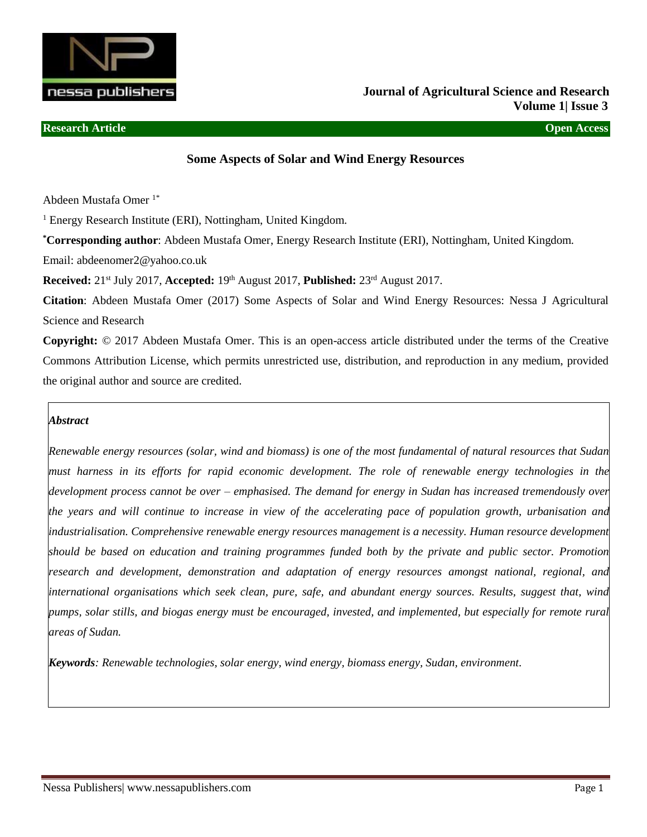

# **Some Aspects of Solar and Wind Energy Resources**

Abdeen Mustafa Omer 1\*

<sup>1</sup> Energy Research Institute (ERI), Nottingham, United Kingdom.

**\*Corresponding author**: Abdeen Mustafa Omer, Energy Research Institute (ERI), Nottingham, United Kingdom*.*

Email: [abdeenomer2@yahoo.co.uk](mailto:abdeenomer2@yahoo.co.uk)

**Received:** 21<sup>st</sup> July 2017, **Accepted:** 19<sup>th</sup> August 2017, **Published:** 23<sup>rd</sup> August 2017.

**Citation**: Abdeen Mustafa Omer (2017) Some Aspects of Solar and Wind Energy Resources: Nessa J Agricultural Science and Research

**Copyright:** © 2017 Abdeen Mustafa Omer. This is an open-access article distributed under the terms of the Creative Commons Attribution License, which permits unrestricted use, distribution, and reproduction in any medium, provided the original author and source are credited.

# *Abstract*

*Renewable energy resources (solar, wind and biomass) is one of the most fundamental of natural resources that Sudan must harness in its efforts for rapid economic development. The role of renewable energy technologies in the development process cannot be over – emphasised. The demand for energy in Sudan has increased tremendously over the years and will continue to increase in view of the accelerating pace of population growth, urbanisation and industrialisation. Comprehensive renewable energy resources management is a necessity. Human resource development should be based on education and training programmes funded both by the private and public sector. Promotion research and development, demonstration and adaptation of energy resources amongst national, regional, and international organisations which seek clean, pure, safe, and abundant energy sources. Results, suggest that, wind pumps, solar stills, and biogas energy must be encouraged, invested, and implemented, but especially for remote rural areas of Sudan.*

*Keywords: Renewable technologies, solar energy, wind energy, biomass energy, Sudan, environment.*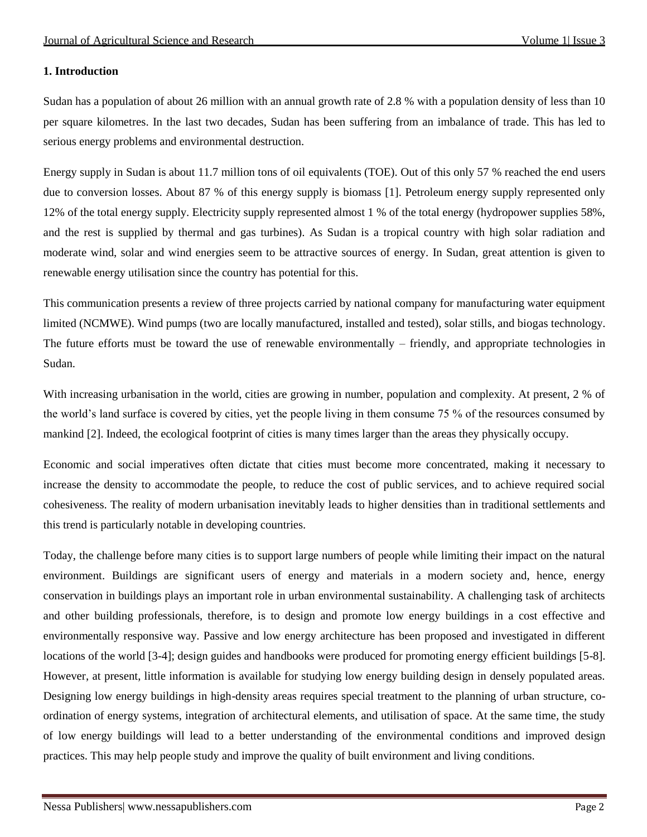## **1. Introduction**

Sudan has a population of about 26 million with an annual growth rate of 2.8 % with a population density of less than 10 per square kilometres. In the last two decades, Sudan has been suffering from an imbalance of trade. This has led to serious energy problems and environmental destruction.

Energy supply in Sudan is about 11.7 million tons of oil equivalents (TOE). Out of this only 57 % reached the end users due to conversion losses. About 87 % of this energy supply is biomass [1]. Petroleum energy supply represented only 12% of the total energy supply. Electricity supply represented almost 1 % of the total energy (hydropower supplies 58%, and the rest is supplied by thermal and gas turbines). As Sudan is a tropical country with high solar radiation and moderate wind, solar and wind energies seem to be attractive sources of energy. In Sudan, great attention is given to renewable energy utilisation since the country has potential for this.

This communication presents a review of three projects carried by national company for manufacturing water equipment limited (NCMWE). Wind pumps (two are locally manufactured, installed and tested), solar stills, and biogas technology. The future efforts must be toward the use of renewable environmentally – friendly, and appropriate technologies in Sudan.

With increasing urbanisation in the world, cities are growing in number, population and complexity. At present, 2 % of the world's land surface is covered by cities, yet the people living in them consume 75 % of the resources consumed by mankind [2]. Indeed, the ecological footprint of cities is many times larger than the areas they physically occupy.

Economic and social imperatives often dictate that cities must become more concentrated, making it necessary to increase the density to accommodate the people, to reduce the cost of public services, and to achieve required social cohesiveness. The reality of modern urbanisation inevitably leads to higher densities than in traditional settlements and this trend is particularly notable in developing countries.

Today, the challenge before many cities is to support large numbers of people while limiting their impact on the natural environment. Buildings are significant users of energy and materials in a modern society and, hence, energy conservation in buildings plays an important role in urban environmental sustainability. A challenging task of architects and other building professionals, therefore, is to design and promote low energy buildings in a cost effective and environmentally responsive way. Passive and low energy architecture has been proposed and investigated in different locations of the world [3-4]; design guides and handbooks were produced for promoting energy efficient buildings [5-8]. However, at present, little information is available for studying low energy building design in densely populated areas. Designing low energy buildings in high-density areas requires special treatment to the planning of urban structure, coordination of energy systems, integration of architectural elements, and utilisation of space. At the same time, the study of low energy buildings will lead to a better understanding of the environmental conditions and improved design practices. This may help people study and improve the quality of built environment and living conditions.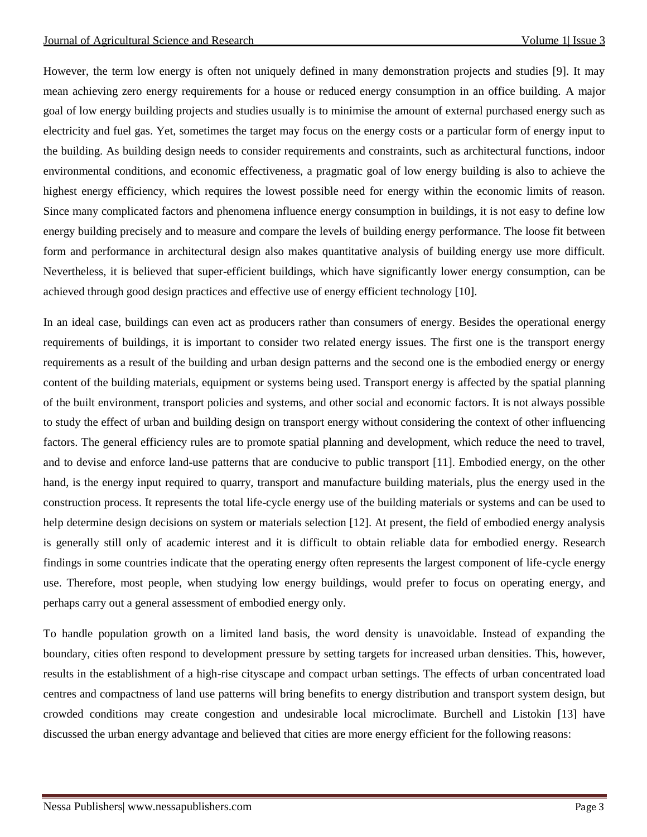However, the term low energy is often not uniquely defined in many demonstration projects and studies [9]. It may mean achieving zero energy requirements for a house or reduced energy consumption in an office building. A major goal of low energy building projects and studies usually is to minimise the amount of external purchased energy such as electricity and fuel gas. Yet, sometimes the target may focus on the energy costs or a particular form of energy input to the building. As building design needs to consider requirements and constraints, such as architectural functions, indoor environmental conditions, and economic effectiveness, a pragmatic goal of low energy building is also to achieve the highest energy efficiency, which requires the lowest possible need for energy within the economic limits of reason. Since many complicated factors and phenomena influence energy consumption in buildings, it is not easy to define low energy building precisely and to measure and compare the levels of building energy performance. The loose fit between form and performance in architectural design also makes quantitative analysis of building energy use more difficult. Nevertheless, it is believed that super-efficient buildings, which have significantly lower energy consumption, can be achieved through good design practices and effective use of energy efficient technology [10].

In an ideal case, buildings can even act as producers rather than consumers of energy. Besides the operational energy requirements of buildings, it is important to consider two related energy issues. The first one is the transport energy requirements as a result of the building and urban design patterns and the second one is the embodied energy or energy content of the building materials, equipment or systems being used. Transport energy is affected by the spatial planning of the built environment, transport policies and systems, and other social and economic factors. It is not always possible to study the effect of urban and building design on transport energy without considering the context of other influencing factors. The general efficiency rules are to promote spatial planning and development, which reduce the need to travel, and to devise and enforce land-use patterns that are conducive to public transport [11]. Embodied energy, on the other hand, is the energy input required to quarry, transport and manufacture building materials, plus the energy used in the construction process. It represents the total life-cycle energy use of the building materials or systems and can be used to help determine design decisions on system or materials selection [12]. At present, the field of embodied energy analysis is generally still only of academic interest and it is difficult to obtain reliable data for embodied energy. Research findings in some countries indicate that the operating energy often represents the largest component of life-cycle energy use. Therefore, most people, when studying low energy buildings, would prefer to focus on operating energy, and perhaps carry out a general assessment of embodied energy only.

To handle population growth on a limited land basis, the word density is unavoidable. Instead of expanding the boundary, cities often respond to development pressure by setting targets for increased urban densities. This, however, results in the establishment of a high-rise cityscape and compact urban settings. The effects of urban concentrated load centres and compactness of land use patterns will bring benefits to energy distribution and transport system design, but crowded conditions may create congestion and undesirable local microclimate. Burchell and Listokin [13] have discussed the urban energy advantage and believed that cities are more energy efficient for the following reasons: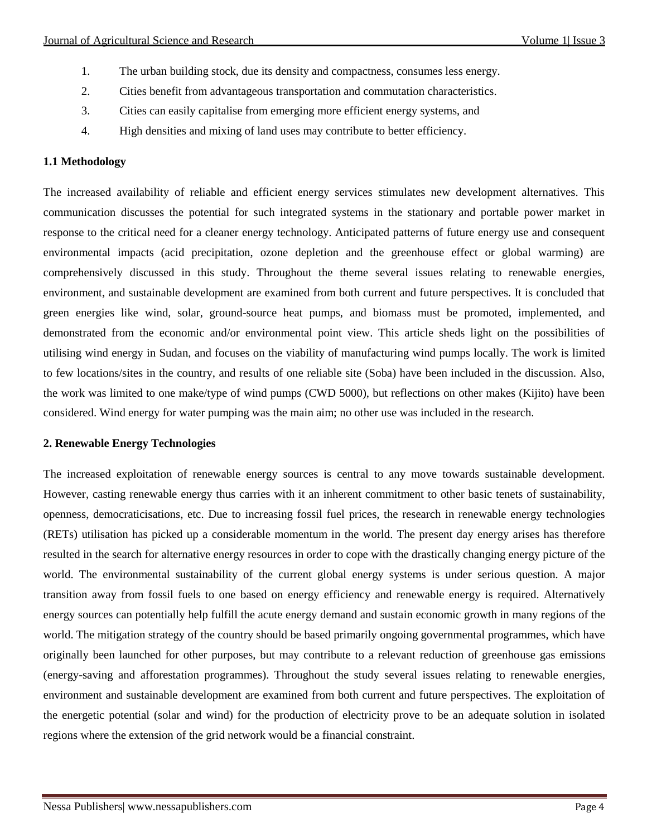- 1. The urban building stock, due its density and compactness, consumes less energy.
- 2. Cities benefit from advantageous transportation and commutation characteristics.
- 3. Cities can easily capitalise from emerging more efficient energy systems, and
- 4. High densities and mixing of land uses may contribute to better efficiency.

### **1.1 Methodology**

The increased availability of reliable and efficient energy services stimulates new development alternatives. This communication discusses the potential for such integrated systems in the stationary and portable power market in response to the critical need for a cleaner energy technology. Anticipated patterns of future energy use and consequent environmental impacts (acid precipitation, ozone depletion and the greenhouse effect or global warming) are comprehensively discussed in this study. Throughout the theme several issues relating to renewable energies, environment, and sustainable development are examined from both current and future perspectives. It is concluded that green energies like wind, solar, ground-source heat pumps, and biomass must be promoted, implemented, and demonstrated from the economic and/or environmental point view. This article sheds light on the possibilities of utilising wind energy in Sudan, and focuses on the viability of manufacturing wind pumps locally. The work is limited to few locations/sites in the country, and results of one reliable site (Soba) have been included in the discussion. Also, the work was limited to one make/type of wind pumps (CWD 5000), but reflections on other makes (Kijito) have been considered. Wind energy for water pumping was the main aim; no other use was included in the research.

### **2. Renewable Energy Technologies**

The increased exploitation of renewable energy sources is central to any move towards sustainable development. However, casting renewable energy thus carries with it an inherent commitment to other basic tenets of sustainability, openness, democraticisations, etc. Due to increasing fossil fuel prices, the research in renewable energy technologies (RETs) utilisation has picked up a considerable momentum in the world. The present day energy arises has therefore resulted in the search for alternative energy resources in order to cope with the drastically changing energy picture of the world. The environmental sustainability of the current global energy systems is under serious question. A major transition away from fossil fuels to one based on energy efficiency and renewable energy is required. Alternatively energy sources can potentially help fulfill the acute energy demand and sustain economic growth in many regions of the world. The mitigation strategy of the country should be based primarily ongoing governmental programmes, which have originally been launched for other purposes, but may contribute to a relevant reduction of greenhouse gas emissions (energy-saving and afforestation programmes). Throughout the study several issues relating to renewable energies, environment and sustainable development are examined from both current and future perspectives. The exploitation of the energetic potential (solar and wind) for the production of electricity prove to be an adequate solution in isolated regions where the extension of the grid network would be a financial constraint.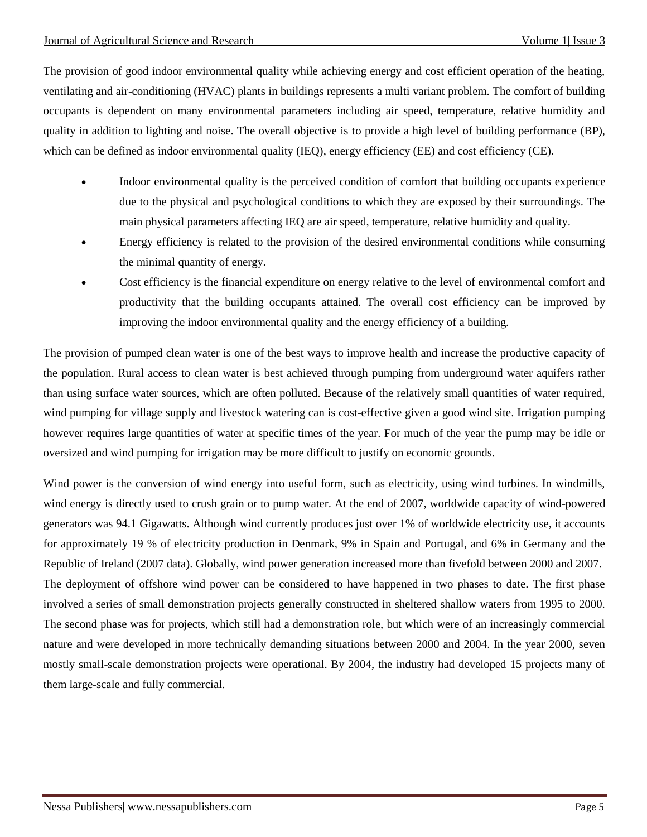The provision of good indoor environmental quality while achieving energy and cost efficient operation of the heating, ventilating and air-conditioning (HVAC) plants in buildings represents a multi variant problem. The comfort of building occupants is dependent on many environmental parameters including air speed, temperature, relative humidity and quality in addition to lighting and noise. The overall objective is to provide a high level of building performance (BP), which can be defined as indoor environmental quality (IEQ), energy efficiency (EE) and cost efficiency (CE).

- Indoor environmental quality is the perceived condition of comfort that building occupants experience due to the physical and psychological conditions to which they are exposed by their surroundings. The main physical parameters affecting IEQ are air speed, temperature, relative humidity and quality.
- Energy efficiency is related to the provision of the desired environmental conditions while consuming the minimal quantity of energy.
- Cost efficiency is the financial expenditure on energy relative to the level of environmental comfort and productivity that the building occupants attained. The overall cost efficiency can be improved by improving the indoor environmental quality and the energy efficiency of a building.

The provision of pumped clean water is one of the best ways to improve health and increase the productive capacity of the population. Rural access to clean water is best achieved through pumping from underground water aquifers rather than using surface water sources, which are often polluted. Because of the relatively small quantities of water required, wind pumping for village supply and livestock watering can is cost-effective given a good wind site. Irrigation pumping however requires large quantities of water at specific times of the year. For much of the year the pump may be idle or oversized and wind pumping for irrigation may be more difficult to justify on economic grounds.

Wind power is the conversion of wind energy into useful form, such as electricity, using wind turbines. In windmills, wind energy is directly used to crush grain or to pump water. At the end of 2007, worldwide capacity of wind-powered generators was 94.1 Gigawatts. Although wind currently produces just over 1% of worldwide electricity use, it accounts for approximately 19 % of electricity production in Denmark, 9% in Spain and Portugal, and 6% in Germany and the Republic of Ireland (2007 data). Globally, wind power generation increased more than fivefold between 2000 and 2007. The deployment of offshore wind power can be considered to have happened in two phases to date. The first phase involved a series of small demonstration projects generally constructed in sheltered shallow waters from 1995 to 2000. The second phase was for projects, which still had a demonstration role, but which were of an increasingly commercial nature and were developed in more technically demanding situations between 2000 and 2004. In the year 2000, seven mostly small-scale demonstration projects were operational. By 2004, the industry had developed 15 projects many of them large-scale and fully commercial.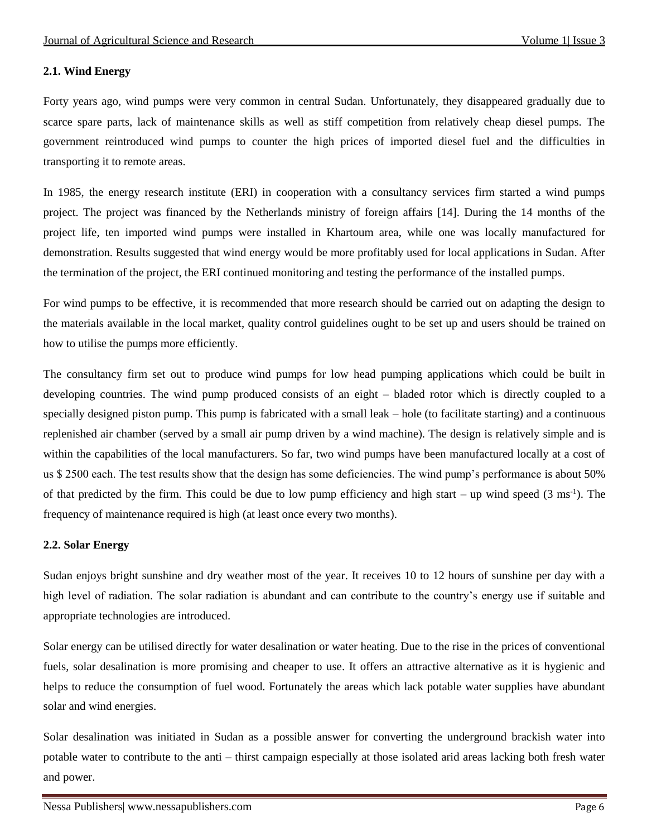## **2.1. Wind Energy**

Forty years ago, wind pumps were very common in central Sudan. Unfortunately, they disappeared gradually due to scarce spare parts, lack of maintenance skills as well as stiff competition from relatively cheap diesel pumps. The government reintroduced wind pumps to counter the high prices of imported diesel fuel and the difficulties in transporting it to remote areas.

In 1985, the energy research institute (ERI) in cooperation with a consultancy services firm started a wind pumps project. The project was financed by the Netherlands ministry of foreign affairs [14]. During the 14 months of the project life, ten imported wind pumps were installed in Khartoum area, while one was locally manufactured for demonstration. Results suggested that wind energy would be more profitably used for local applications in Sudan. After the termination of the project, the ERI continued monitoring and testing the performance of the installed pumps.

For wind pumps to be effective, it is recommended that more research should be carried out on adapting the design to the materials available in the local market, quality control guidelines ought to be set up and users should be trained on how to utilise the pumps more efficiently.

The consultancy firm set out to produce wind pumps for low head pumping applications which could be built in developing countries. The wind pump produced consists of an eight – bladed rotor which is directly coupled to a specially designed piston pump. This pump is fabricated with a small leak – hole (to facilitate starting) and a continuous replenished air chamber (served by a small air pump driven by a wind machine). The design is relatively simple and is within the capabilities of the local manufacturers. So far, two wind pumps have been manufactured locally at a cost of us \$ 2500 each. The test results show that the design has some deficiencies. The wind pump's performance is about 50% of that predicted by the firm. This could be due to low pump efficiency and high start – up wind speed  $(3 \text{ ms}^{-1})$ . The frequency of maintenance required is high (at least once every two months).

### **2.2. Solar Energy**

Sudan enjoys bright sunshine and dry weather most of the year. It receives 10 to 12 hours of sunshine per day with a high level of radiation. The solar radiation is abundant and can contribute to the country's energy use if suitable and appropriate technologies are introduced.

Solar energy can be utilised directly for water desalination or water heating. Due to the rise in the prices of conventional fuels, solar desalination is more promising and cheaper to use. It offers an attractive alternative as it is hygienic and helps to reduce the consumption of fuel wood. Fortunately the areas which lack potable water supplies have abundant solar and wind energies.

Solar desalination was initiated in Sudan as a possible answer for converting the underground brackish water into potable water to contribute to the anti – thirst campaign especially at those isolated arid areas lacking both fresh water and power.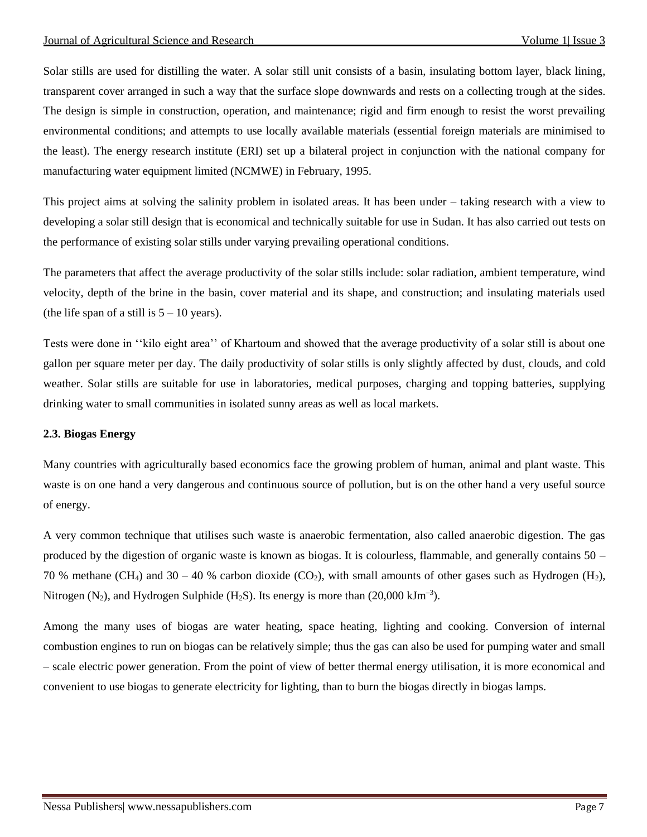Solar stills are used for distilling the water. A solar still unit consists of a basin, insulating bottom layer, black lining, transparent cover arranged in such a way that the surface slope downwards and rests on a collecting trough at the sides. The design is simple in construction, operation, and maintenance; rigid and firm enough to resist the worst prevailing environmental conditions; and attempts to use locally available materials (essential foreign materials are minimised to the least). The energy research institute (ERI) set up a bilateral project in conjunction with the national company for manufacturing water equipment limited (NCMWE) in February, 1995.

This project aims at solving the salinity problem in isolated areas. It has been under – taking research with a view to developing a solar still design that is economical and technically suitable for use in Sudan. It has also carried out tests on the performance of existing solar stills under varying prevailing operational conditions.

The parameters that affect the average productivity of the solar stills include: solar radiation, ambient temperature, wind velocity, depth of the brine in the basin, cover material and its shape, and construction; and insulating materials used (the life span of a still is  $5 - 10$  years).

Tests were done in ''kilo eight area'' of Khartoum and showed that the average productivity of a solar still is about one gallon per square meter per day. The daily productivity of solar stills is only slightly affected by dust, clouds, and cold weather. Solar stills are suitable for use in laboratories, medical purposes, charging and topping batteries, supplying drinking water to small communities in isolated sunny areas as well as local markets.

### **2.3. Biogas Energy**

Many countries with agriculturally based economics face the growing problem of human, animal and plant waste. This waste is on one hand a very dangerous and continuous source of pollution, but is on the other hand a very useful source of energy.

A very common technique that utilises such waste is anaerobic fermentation, also called anaerobic digestion. The gas produced by the digestion of organic waste is known as biogas. It is colourless, flammable, and generally contains 50 – 70 % methane (CH<sub>4</sub>) and 30 – 40 % carbon dioxide (CO<sub>2</sub>), with small amounts of other gases such as Hydrogen (H<sub>2</sub>), Nitrogen (N<sub>2</sub>), and Hydrogen Sulphide (H<sub>2</sub>S). Its energy is more than (20,000 kJm<sup>-3</sup>).

Among the many uses of biogas are water heating, space heating, lighting and cooking. Conversion of internal combustion engines to run on biogas can be relatively simple; thus the gas can also be used for pumping water and small – scale electric power generation. From the point of view of better thermal energy utilisation, it is more economical and convenient to use biogas to generate electricity for lighting, than to burn the biogas directly in biogas lamps.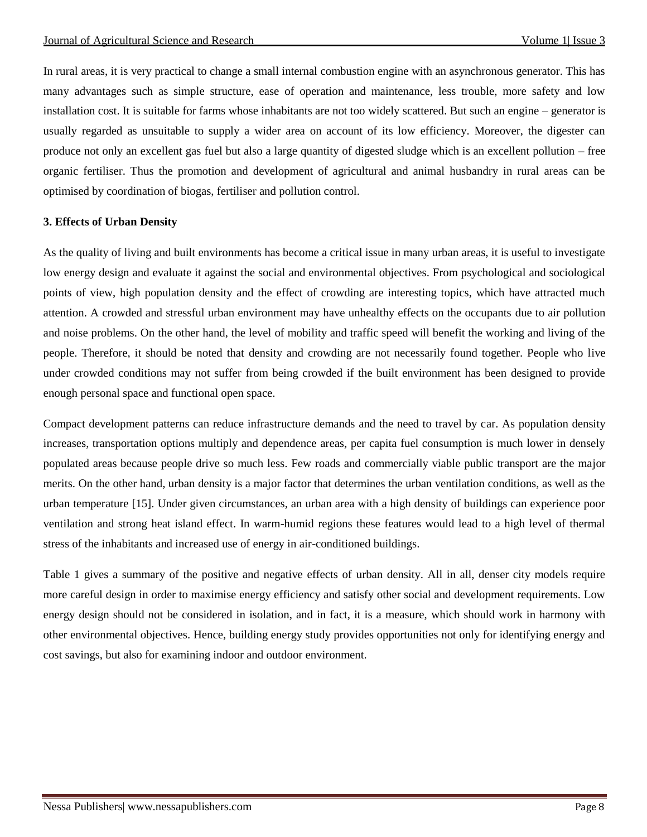In rural areas, it is very practical to change a small internal combustion engine with an asynchronous generator. This has many advantages such as simple structure, ease of operation and maintenance, less trouble, more safety and low installation cost. It is suitable for farms whose inhabitants are not too widely scattered. But such an engine – generator is usually regarded as unsuitable to supply a wider area on account of its low efficiency. Moreover, the digester can produce not only an excellent gas fuel but also a large quantity of digested sludge which is an excellent pollution – free organic fertiliser. Thus the promotion and development of agricultural and animal husbandry in rural areas can be optimised by coordination of biogas, fertiliser and pollution control.

### **3. Effects of Urban Density**

As the quality of living and built environments has become a critical issue in many urban areas, it is useful to investigate low energy design and evaluate it against the social and environmental objectives. From psychological and sociological points of view, high population density and the effect of crowding are interesting topics, which have attracted much attention. A crowded and stressful urban environment may have unhealthy effects on the occupants due to air pollution and noise problems. On the other hand, the level of mobility and traffic speed will benefit the working and living of the people. Therefore, it should be noted that density and crowding are not necessarily found together. People who live under crowded conditions may not suffer from being crowded if the built environment has been designed to provide enough personal space and functional open space.

Compact development patterns can reduce infrastructure demands and the need to travel by car. As population density increases, transportation options multiply and dependence areas, per capita fuel consumption is much lower in densely populated areas because people drive so much less. Few roads and commercially viable public transport are the major merits. On the other hand, urban density is a major factor that determines the urban ventilation conditions, as well as the urban temperature [15]. Under given circumstances, an urban area with a high density of buildings can experience poor ventilation and strong heat island effect. In warm-humid regions these features would lead to a high level of thermal stress of the inhabitants and increased use of energy in air-conditioned buildings.

Table 1 gives a summary of the positive and negative effects of urban density. All in all, denser city models require more careful design in order to maximise energy efficiency and satisfy other social and development requirements. Low energy design should not be considered in isolation, and in fact, it is a measure, which should work in harmony with other environmental objectives. Hence, building energy study provides opportunities not only for identifying energy and cost savings, but also for examining indoor and outdoor environment.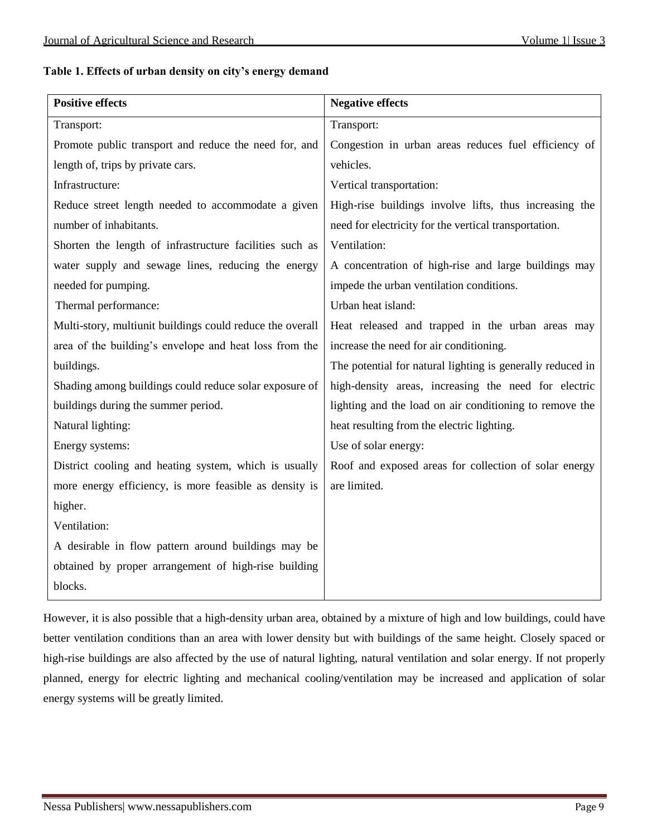# **Table 1. Effects of urban density on city's energy demand**

| <b>Positive effects</b>                                   | <b>Negative effects</b>                                    |
|-----------------------------------------------------------|------------------------------------------------------------|
| Transport:                                                | Transport:                                                 |
| Promote public transport and reduce the need for, and     | Congestion in urban areas reduces fuel efficiency of       |
| length of, trips by private cars.                         | vehicles.                                                  |
| Infrastructure:                                           | Vertical transportation:                                   |
| Reduce street length needed to accommodate a given        | High-rise buildings involve lifts, thus increasing the     |
| number of inhabitants.                                    | need for electricity for the vertical transportation.      |
| Shorten the length of infrastructure facilities such as   | Ventilation:                                               |
| water supply and sewage lines, reducing the energy        | A concentration of high-rise and large buildings may       |
| needed for pumping.                                       | impede the urban ventilation conditions.                   |
| Thermal performance:                                      | Urban heat island:                                         |
| Multi-story, multiunit buildings could reduce the overall | Heat released and trapped in the urban areas may           |
| area of the building's envelope and heat loss from the    | increase the need for air conditioning.                    |
| buildings.                                                | The potential for natural lighting is generally reduced in |
| Shading among buildings could reduce solar exposure of    | high-density areas, increasing the need for electric       |
| buildings during the summer period.                       | lighting and the load on air conditioning to remove the    |
| Natural lighting:                                         | heat resulting from the electric lighting.                 |
| Energy systems:                                           | Use of solar energy:                                       |
| District cooling and heating system, which is usually     | Roof and exposed areas for collection of solar energy      |
| more energy efficiency, is more feasible as density is    | are limited.                                               |
| higher.                                                   |                                                            |
| Ventilation:                                              |                                                            |
| A desirable in flow pattern around buildings may be       |                                                            |
| obtained by proper arrangement of high-rise building      |                                                            |
| blocks.                                                   |                                                            |

However, it is also possible that a high-density urban area, obtained by a mixture of high and low buildings, could have better ventilation conditions than an area with lower density but with buildings of the same height. Closely spaced or high-rise buildings are also affected by the use of natural lighting, natural ventilation and solar energy. If not properly planned, energy for electric lighting and mechanical cooling/ventilation may be increased and application of solar energy systems will be greatly limited.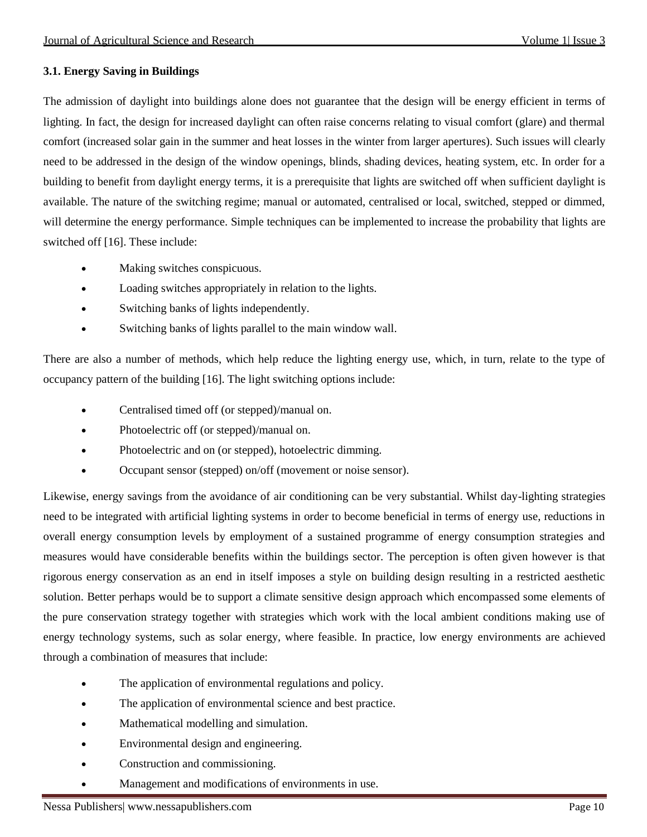# **3.1. Energy Saving in Buildings**

The admission of daylight into buildings alone does not guarantee that the design will be energy efficient in terms of lighting. In fact, the design for increased daylight can often raise concerns relating to visual comfort (glare) and thermal comfort (increased solar gain in the summer and heat losses in the winter from larger apertures). Such issues will clearly need to be addressed in the design of the window openings, blinds, shading devices, heating system, etc. In order for a building to benefit from daylight energy terms, it is a prerequisite that lights are switched off when sufficient daylight is available. The nature of the switching regime; manual or automated, centralised or local, switched, stepped or dimmed, will determine the energy performance. Simple techniques can be implemented to increase the probability that lights are switched off [16]. These include:

- Making switches conspicuous.
- Loading switches appropriately in relation to the lights.
- Switching banks of lights independently.
- Switching banks of lights parallel to the main window wall.

There are also a number of methods, which help reduce the lighting energy use, which, in turn, relate to the type of occupancy pattern of the building [16]. The light switching options include:

- Centralised timed off (or stepped)/manual on.
- Photoelectric off (or stepped)/manual on.
- Photoelectric and on (or stepped), hotoelectric dimming.
- Occupant sensor (stepped) on/off (movement or noise sensor).

Likewise, energy savings from the avoidance of air conditioning can be very substantial. Whilst day-lighting strategies need to be integrated with artificial lighting systems in order to become beneficial in terms of energy use, reductions in overall energy consumption levels by employment of a sustained programme of energy consumption strategies and measures would have considerable benefits within the buildings sector. The perception is often given however is that rigorous energy conservation as an end in itself imposes a style on building design resulting in a restricted aesthetic solution. Better perhaps would be to support a climate sensitive design approach which encompassed some elements of the pure conservation strategy together with strategies which work with the local ambient conditions making use of energy technology systems, such as solar energy, where feasible. In practice, low energy environments are achieved through a combination of measures that include:

- The application of environmental regulations and policy.
- The application of environmental science and best practice.
- Mathematical modelling and simulation.
- Environmental design and engineering.
- Construction and commissioning.
- Management and modifications of environments in use.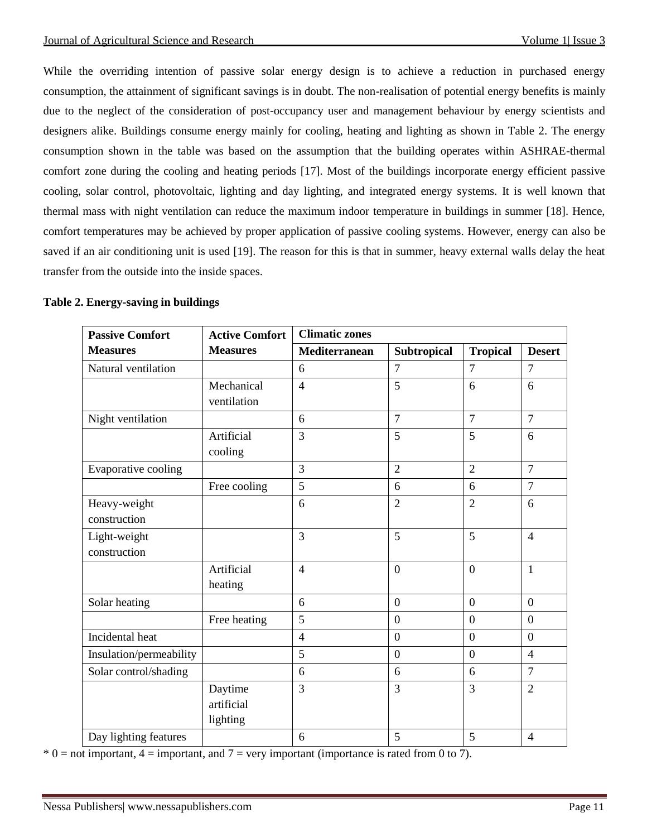While the overriding intention of passive solar energy design is to achieve a reduction in purchased energy consumption, the attainment of significant savings is in doubt. The non-realisation of potential energy benefits is mainly due to the neglect of the consideration of post-occupancy user and management behaviour by energy scientists and designers alike. Buildings consume energy mainly for cooling, heating and lighting as shown in Table 2. The energy consumption shown in the table was based on the assumption that the building operates within ASHRAE-thermal comfort zone during the cooling and heating periods [17]. Most of the buildings incorporate energy efficient passive cooling, solar control, photovoltaic, lighting and day lighting, and integrated energy systems. It is well known that thermal mass with night ventilation can reduce the maximum indoor temperature in buildings in summer [18]. Hence, comfort temperatures may be achieved by proper application of passive cooling systems. However, energy can also be saved if an air conditioning unit is used [19]. The reason for this is that in summer, heavy external walls delay the heat transfer from the outside into the inside spaces.

| <b>Passive Comfort</b>       | <b>Active Comfort</b>             | <b>Climatic zones</b> |                    |                 |                |
|------------------------------|-----------------------------------|-----------------------|--------------------|-----------------|----------------|
| <b>Measures</b>              | <b>Measures</b>                   | Mediterranean         | <b>Subtropical</b> | <b>Tropical</b> | <b>Desert</b>  |
| Natural ventilation          |                                   | 6                     | $\overline{7}$     | $\overline{7}$  | $\overline{7}$ |
|                              | Mechanical<br>ventilation         | $\overline{4}$        | 5                  | 6               | 6              |
| Night ventilation            |                                   | 6                     | $\overline{7}$     | $\overline{7}$  | $\overline{7}$ |
|                              | Artificial<br>cooling             | 3                     | 5                  | 5               | 6              |
| Evaporative cooling          |                                   | 3                     | $\overline{2}$     | $\overline{2}$  | $\overline{7}$ |
|                              | Free cooling                      | 5                     | 6                  | 6               | $\overline{7}$ |
| Heavy-weight<br>construction |                                   | 6                     | $\overline{2}$     | $\overline{2}$  | 6              |
| Light-weight<br>construction |                                   | $\overline{3}$        | 5                  | 5               | $\overline{4}$ |
|                              | Artificial<br>heating             | $\overline{4}$        | $\overline{0}$     | $\overline{0}$  | $\mathbf{1}$   |
| Solar heating                |                                   | 6                     | $\overline{0}$     | $\overline{0}$  | $\overline{0}$ |
|                              | Free heating                      | 5                     | $\overline{0}$     | $\overline{0}$  | $\overline{0}$ |
| Incidental heat              |                                   | $\overline{4}$        | $\boldsymbol{0}$   | $\overline{0}$  | $\overline{0}$ |
| Insulation/permeability      |                                   | 5                     | $\overline{0}$     | $\overline{0}$  | $\overline{4}$ |
| Solar control/shading        |                                   | 6                     | 6                  | 6               | $\overline{7}$ |
|                              | Daytime<br>artificial<br>lighting | 3                     | 3                  | $\overline{3}$  | $\overline{2}$ |
| Day lighting features        |                                   | 6                     | 5                  | 5               | $\overline{4}$ |

### **Table 2. Energy-saving in buildings**

 $* 0 =$  not important,  $4 =$  important, and  $7 =$  very important (importance is rated from 0 to 7).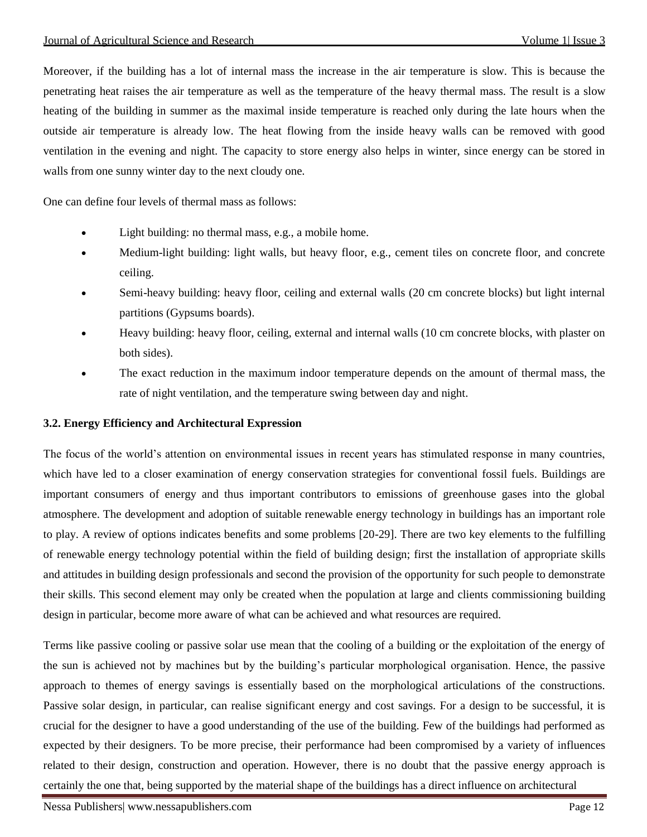Moreover, if the building has a lot of internal mass the increase in the air temperature is slow. This is because the penetrating heat raises the air temperature as well as the temperature of the heavy thermal mass. The result is a slow heating of the building in summer as the maximal inside temperature is reached only during the late hours when the outside air temperature is already low. The heat flowing from the inside heavy walls can be removed with good ventilation in the evening and night. The capacity to store energy also helps in winter, since energy can be stored in walls from one sunny winter day to the next cloudy one.

One can define four levels of thermal mass as follows:

- Light building: no thermal mass, e.g., a mobile home.
- Medium-light building: light walls, but heavy floor, e.g., cement tiles on concrete floor, and concrete ceiling.
- Semi-heavy building: heavy floor, ceiling and external walls (20 cm concrete blocks) but light internal partitions (Gypsums boards).
- Heavy building: heavy floor, ceiling, external and internal walls (10 cm concrete blocks, with plaster on both sides).
- The exact reduction in the maximum indoor temperature depends on the amount of thermal mass, the rate of night ventilation, and the temperature swing between day and night.

### **3.2. Energy Efficiency and Architectural Expression**

The focus of the world's attention on environmental issues in recent years has stimulated response in many countries, which have led to a closer examination of energy conservation strategies for conventional fossil fuels. Buildings are important consumers of energy and thus important contributors to emissions of greenhouse gases into the global atmosphere. The development and adoption of suitable renewable energy technology in buildings has an important role to play. A review of options indicates benefits and some problems [20-29]. There are two key elements to the fulfilling of renewable energy technology potential within the field of building design; first the installation of appropriate skills and attitudes in building design professionals and second the provision of the opportunity for such people to demonstrate their skills. This second element may only be created when the population at large and clients commissioning building design in particular, become more aware of what can be achieved and what resources are required.

Terms like passive cooling or passive solar use mean that the cooling of a building or the exploitation of the energy of the sun is achieved not by machines but by the building's particular morphological organisation. Hence, the passive approach to themes of energy savings is essentially based on the morphological articulations of the constructions. Passive solar design, in particular, can realise significant energy and cost savings. For a design to be successful, it is crucial for the designer to have a good understanding of the use of the building. Few of the buildings had performed as expected by their designers. To be more precise, their performance had been compromised by a variety of influences related to their design, construction and operation. However, there is no doubt that the passive energy approach is certainly the one that, being supported by the material shape of the buildings has a direct influence on architectural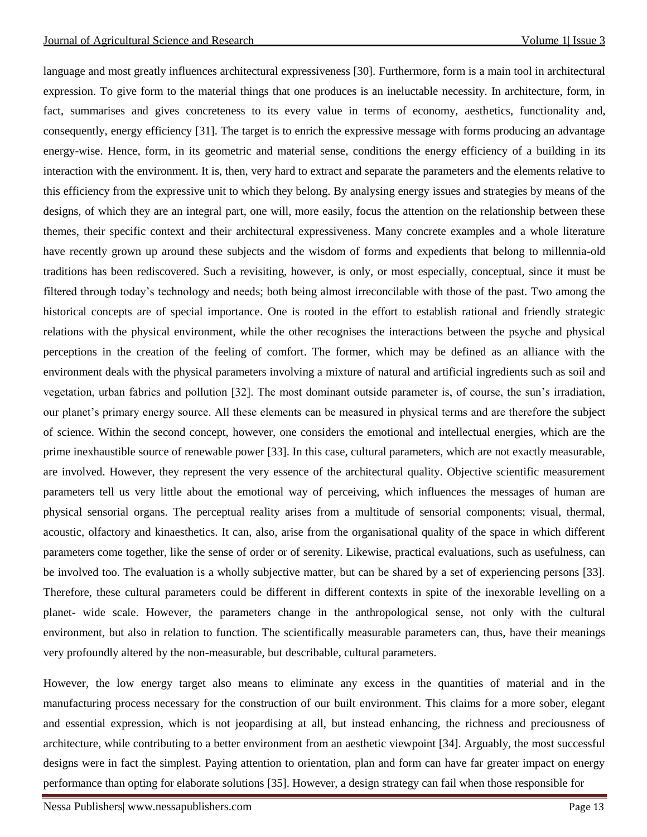language and most greatly influences architectural expressiveness [30]. Furthermore, form is a main tool in architectural expression. To give form to the material things that one produces is an ineluctable necessity. In architecture, form, in fact, summarises and gives concreteness to its every value in terms of economy, aesthetics, functionality and, consequently, energy efficiency [31]. The target is to enrich the expressive message with forms producing an advantage energy-wise. Hence, form, in its geometric and material sense, conditions the energy efficiency of a building in its interaction with the environment. It is, then, very hard to extract and separate the parameters and the elements relative to this efficiency from the expressive unit to which they belong. By analysing energy issues and strategies by means of the designs, of which they are an integral part, one will, more easily, focus the attention on the relationship between these themes, their specific context and their architectural expressiveness. Many concrete examples and a whole literature have recently grown up around these subjects and the wisdom of forms and expedients that belong to millennia-old traditions has been rediscovered. Such a revisiting, however, is only, or most especially, conceptual, since it must be filtered through today's technology and needs; both being almost irreconcilable with those of the past. Two among the historical concepts are of special importance. One is rooted in the effort to establish rational and friendly strategic relations with the physical environment, while the other recognises the interactions between the psyche and physical perceptions in the creation of the feeling of comfort. The former, which may be defined as an alliance with the environment deals with the physical parameters involving a mixture of natural and artificial ingredients such as soil and vegetation, urban fabrics and pollution [32]. The most dominant outside parameter is, of course, the sun's irradiation, our planet's primary energy source. All these elements can be measured in physical terms and are therefore the subject of science. Within the second concept, however, one considers the emotional and intellectual energies, which are the prime inexhaustible source of renewable power [33]. In this case, cultural parameters, which are not exactly measurable, are involved. However, they represent the very essence of the architectural quality. Objective scientific measurement parameters tell us very little about the emotional way of perceiving, which influences the messages of human are physical sensorial organs. The perceptual reality arises from a multitude of sensorial components; visual, thermal, acoustic, olfactory and kinaesthetics. It can, also, arise from the organisational quality of the space in which different parameters come together, like the sense of order or of serenity. Likewise, practical evaluations, such as usefulness, can be involved too. The evaluation is a wholly subjective matter, but can be shared by a set of experiencing persons [33]. Therefore, these cultural parameters could be different in different contexts in spite of the inexorable levelling on a planet- wide scale. However, the parameters change in the anthropological sense, not only with the cultural environment, but also in relation to function. The scientifically measurable parameters can, thus, have their meanings very profoundly altered by the non-measurable, but describable, cultural parameters.

However, the low energy target also means to eliminate any excess in the quantities of material and in the manufacturing process necessary for the construction of our built environment. This claims for a more sober, elegant and essential expression, which is not jeopardising at all, but instead enhancing, the richness and preciousness of architecture, while contributing to a better environment from an aesthetic viewpoint [34]. Arguably, the most successful designs were in fact the simplest. Paying attention to orientation, plan and form can have far greater impact on energy performance than opting for elaborate solutions [35]. However, a design strategy can fail when those responsible for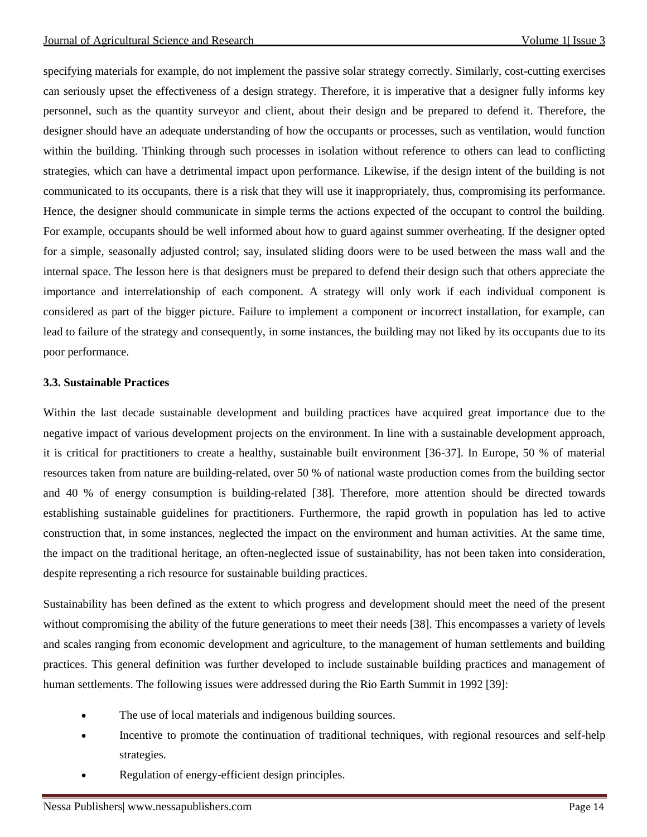specifying materials for example, do not implement the passive solar strategy correctly. Similarly, cost-cutting exercises can seriously upset the effectiveness of a design strategy. Therefore, it is imperative that a designer fully informs key personnel, such as the quantity surveyor and client, about their design and be prepared to defend it. Therefore, the designer should have an adequate understanding of how the occupants or processes, such as ventilation, would function within the building. Thinking through such processes in isolation without reference to others can lead to conflicting strategies, which can have a detrimental impact upon performance. Likewise, if the design intent of the building is not communicated to its occupants, there is a risk that they will use it inappropriately, thus, compromising its performance. Hence, the designer should communicate in simple terms the actions expected of the occupant to control the building. For example, occupants should be well informed about how to guard against summer overheating. If the designer opted for a simple, seasonally adjusted control; say, insulated sliding doors were to be used between the mass wall and the internal space. The lesson here is that designers must be prepared to defend their design such that others appreciate the importance and interrelationship of each component. A strategy will only work if each individual component is considered as part of the bigger picture. Failure to implement a component or incorrect installation, for example, can lead to failure of the strategy and consequently, in some instances, the building may not liked by its occupants due to its poor performance.

### **3.3. Sustainable Practices**

Within the last decade sustainable development and building practices have acquired great importance due to the negative impact of various development projects on the environment. In line with a sustainable development approach, it is critical for practitioners to create a healthy, sustainable built environment [36-37]. In Europe, 50 % of material resources taken from nature are building-related, over 50 % of national waste production comes from the building sector and 40 % of energy consumption is building-related [38]. Therefore, more attention should be directed towards establishing sustainable guidelines for practitioners. Furthermore, the rapid growth in population has led to active construction that, in some instances, neglected the impact on the environment and human activities. At the same time, the impact on the traditional heritage, an often-neglected issue of sustainability, has not been taken into consideration, despite representing a rich resource for sustainable building practices.

Sustainability has been defined as the extent to which progress and development should meet the need of the present without compromising the ability of the future generations to meet their needs [38]. This encompasses a variety of levels and scales ranging from economic development and agriculture, to the management of human settlements and building practices. This general definition was further developed to include sustainable building practices and management of human settlements. The following issues were addressed during the Rio Earth Summit in 1992 [39]:

- The use of local materials and indigenous building sources.
- Incentive to promote the continuation of traditional techniques, with regional resources and self-help strategies.
- Regulation of energy-efficient design principles.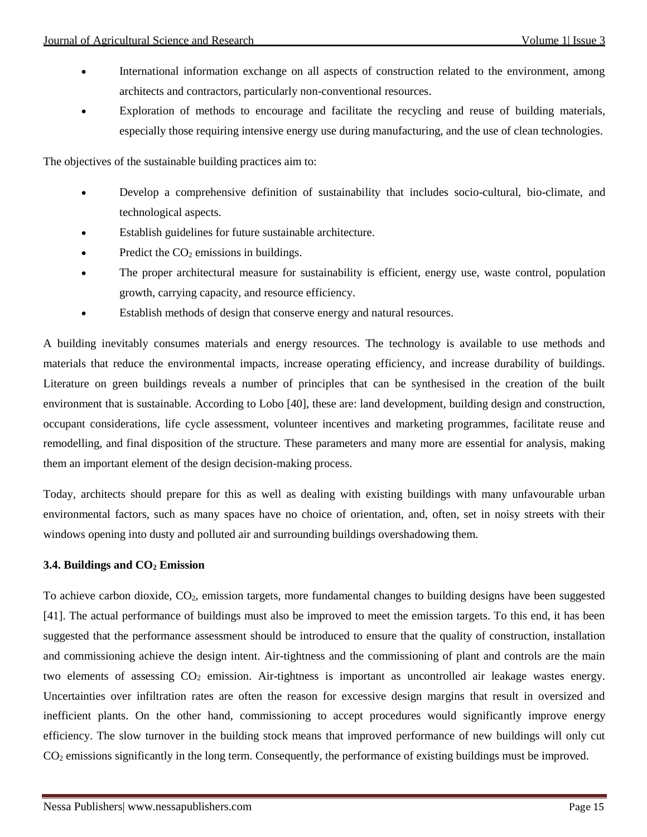- International information exchange on all aspects of construction related to the environment, among architects and contractors, particularly non-conventional resources.
- Exploration of methods to encourage and facilitate the recycling and reuse of building materials, especially those requiring intensive energy use during manufacturing, and the use of clean technologies.

The objectives of the sustainable building practices aim to:

- Develop a comprehensive definition of sustainability that includes socio-cultural, bio-climate, and technological aspects.
- Establish guidelines for future sustainable architecture.
- Predict the  $CO<sub>2</sub>$  emissions in buildings.
- The proper architectural measure for sustainability is efficient, energy use, waste control, population growth, carrying capacity, and resource efficiency.
- Establish methods of design that conserve energy and natural resources.

A building inevitably consumes materials and energy resources. The technology is available to use methods and materials that reduce the environmental impacts, increase operating efficiency, and increase durability of buildings. Literature on green buildings reveals a number of principles that can be synthesised in the creation of the built environment that is sustainable. According to Lobo [40], these are: land development, building design and construction, occupant considerations, life cycle assessment, volunteer incentives and marketing programmes, facilitate reuse and remodelling, and final disposition of the structure. These parameters and many more are essential for analysis, making them an important element of the design decision-making process.

Today, architects should prepare for this as well as dealing with existing buildings with many unfavourable urban environmental factors, such as many spaces have no choice of orientation, and, often, set in noisy streets with their windows opening into dusty and polluted air and surrounding buildings overshadowing them.

# **3.4. Buildings and CO<sup>2</sup> Emission**

To achieve carbon dioxide, CO2, emission targets, more fundamental changes to building designs have been suggested [41]. The actual performance of buildings must also be improved to meet the emission targets. To this end, it has been suggested that the performance assessment should be introduced to ensure that the quality of construction, installation and commissioning achieve the design intent. Air-tightness and the commissioning of plant and controls are the main two elements of assessing  $CO<sub>2</sub>$  emission. Air-tightness is important as uncontrolled air leakage wastes energy. Uncertainties over infiltration rates are often the reason for excessive design margins that result in oversized and inefficient plants. On the other hand, commissioning to accept procedures would significantly improve energy efficiency. The slow turnover in the building stock means that improved performance of new buildings will only cut CO<sup>2</sup> emissions significantly in the long term. Consequently, the performance of existing buildings must be improved.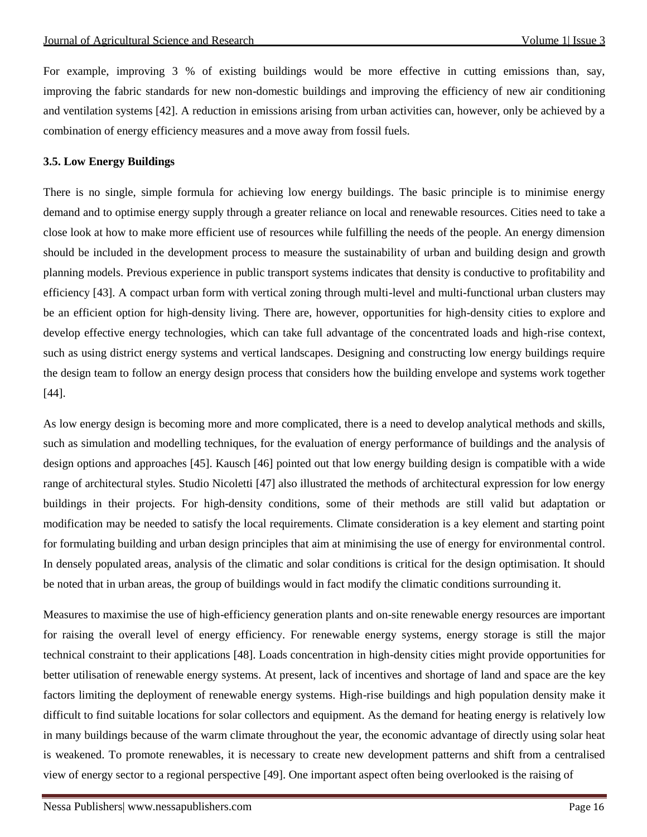For example, improving 3 % of existing buildings would be more effective in cutting emissions than, say, improving the fabric standards for new non-domestic buildings and improving the efficiency of new air conditioning and ventilation systems [42]. A reduction in emissions arising from urban activities can, however, only be achieved by a combination of energy efficiency measures and a move away from fossil fuels.

### **3.5. Low Energy Buildings**

There is no single, simple formula for achieving low energy buildings. The basic principle is to minimise energy demand and to optimise energy supply through a greater reliance on local and renewable resources. Cities need to take a close look at how to make more efficient use of resources while fulfilling the needs of the people. An energy dimension should be included in the development process to measure the sustainability of urban and building design and growth planning models. Previous experience in public transport systems indicates that density is conductive to profitability and efficiency [43]. A compact urban form with vertical zoning through multi-level and multi-functional urban clusters may be an efficient option for high-density living. There are, however, opportunities for high-density cities to explore and develop effective energy technologies, which can take full advantage of the concentrated loads and high-rise context, such as using district energy systems and vertical landscapes. Designing and constructing low energy buildings require the design team to follow an energy design process that considers how the building envelope and systems work together [44].

As low energy design is becoming more and more complicated, there is a need to develop analytical methods and skills, such as simulation and modelling techniques, for the evaluation of energy performance of buildings and the analysis of design options and approaches [45]. Kausch [46] pointed out that low energy building design is compatible with a wide range of architectural styles. Studio Nicoletti [47] also illustrated the methods of architectural expression for low energy buildings in their projects. For high-density conditions, some of their methods are still valid but adaptation or modification may be needed to satisfy the local requirements. Climate consideration is a key element and starting point for formulating building and urban design principles that aim at minimising the use of energy for environmental control. In densely populated areas, analysis of the climatic and solar conditions is critical for the design optimisation. It should be noted that in urban areas, the group of buildings would in fact modify the climatic conditions surrounding it.

Measures to maximise the use of high-efficiency generation plants and on-site renewable energy resources are important for raising the overall level of energy efficiency. For renewable energy systems, energy storage is still the major technical constraint to their applications [48]. Loads concentration in high-density cities might provide opportunities for better utilisation of renewable energy systems. At present, lack of incentives and shortage of land and space are the key factors limiting the deployment of renewable energy systems. High-rise buildings and high population density make it difficult to find suitable locations for solar collectors and equipment. As the demand for heating energy is relatively low in many buildings because of the warm climate throughout the year, the economic advantage of directly using solar heat is weakened. To promote renewables, it is necessary to create new development patterns and shift from a centralised view of energy sector to a regional perspective [49]. One important aspect often being overlooked is the raising of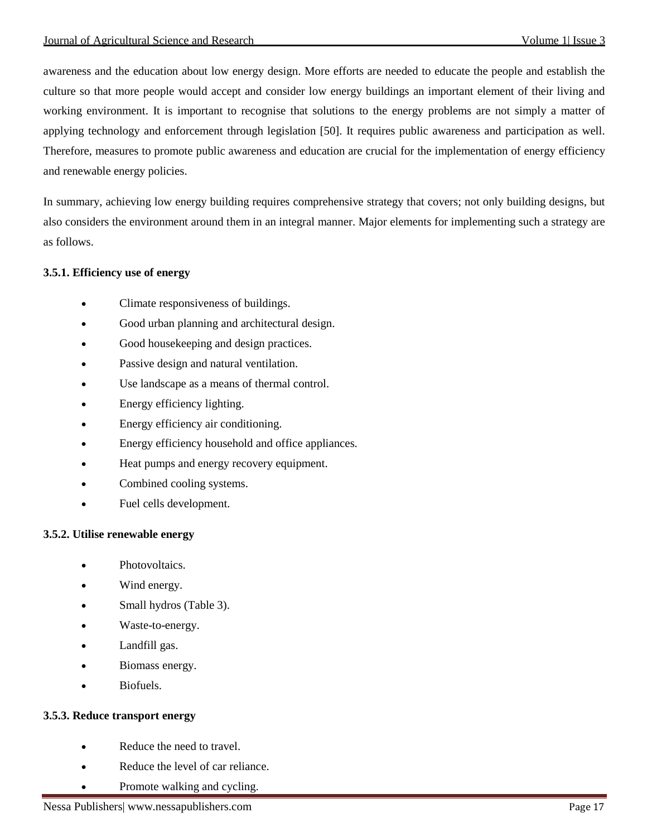awareness and the education about low energy design. More efforts are needed to educate the people and establish the culture so that more people would accept and consider low energy buildings an important element of their living and working environment. It is important to recognise that solutions to the energy problems are not simply a matter of applying technology and enforcement through legislation [50]. It requires public awareness and participation as well. Therefore, measures to promote public awareness and education are crucial for the implementation of energy efficiency and renewable energy policies.

In summary, achieving low energy building requires comprehensive strategy that covers; not only building designs, but also considers the environment around them in an integral manner. Major elements for implementing such a strategy are as follows.

# **3.5.1. Efficiency use of energy**

- Climate responsiveness of buildings.
- Good urban planning and architectural design.
- Good housekeeping and design practices.
- Passive design and natural ventilation.
- Use landscape as a means of thermal control.
- Energy efficiency lighting.
- Energy efficiency air conditioning.
- Energy efficiency household and office appliances.
- Heat pumps and energy recovery equipment.
- Combined cooling systems.
- Fuel cells development.

# **3.5.2. Utilise renewable energy**

- Photovoltaics.
- Wind energy.
- Small hydros (Table 3).
- Waste-to-energy.
- Landfill gas.
- Biomass energy.
- Biofuels.

# **3.5.3. Reduce transport energy**

- Reduce the need to travel.
- Reduce the level of car reliance.
- Promote walking and cycling.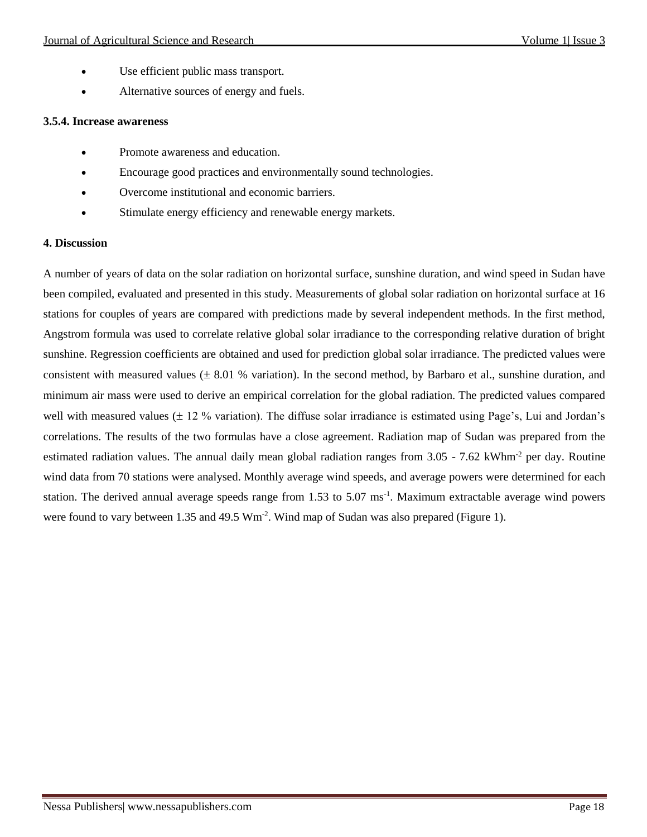- Use efficient public mass transport.
- Alternative sources of energy and fuels.

### **3.5.4. Increase awareness**

- Promote awareness and education.
- Encourage good practices and environmentally sound technologies.
- Overcome institutional and economic barriers.
- Stimulate energy efficiency and renewable energy markets.

### **4. Discussion**

A number of years of data on the solar radiation on horizontal surface, sunshine duration, and wind speed in Sudan have been compiled, evaluated and presented in this study. Measurements of global solar radiation on horizontal surface at 16 stations for couples of years are compared with predictions made by several independent methods. In the first method, Angstrom formula was used to correlate relative global solar irradiance to the corresponding relative duration of bright sunshine. Regression coefficients are obtained and used for prediction global solar irradiance. The predicted values were consistent with measured values  $(\pm 8.01 \%)$  variation). In the second method, by Barbaro et al., sunshine duration, and minimum air mass were used to derive an empirical correlation for the global radiation. The predicted values compared well with measured values  $(\pm 12 \%$  variation). The diffuse solar irradiance is estimated using Page's, Lui and Jordan's correlations. The results of the two formulas have a close agreement. Radiation map of Sudan was prepared from the estimated radiation values. The annual daily mean global radiation ranges from 3.05 - 7.62 kWhm<sup>-2</sup> per day. Routine wind data from 70 stations were analysed. Monthly average wind speeds, and average powers were determined for each station. The derived annual average speeds range from  $1.53$  to  $5.07 \text{ ms}^{-1}$ . Maximum extractable average wind powers were found to vary between 1.35 and 49.5 Wm<sup>-2</sup>. Wind map of Sudan was also prepared (Figure 1).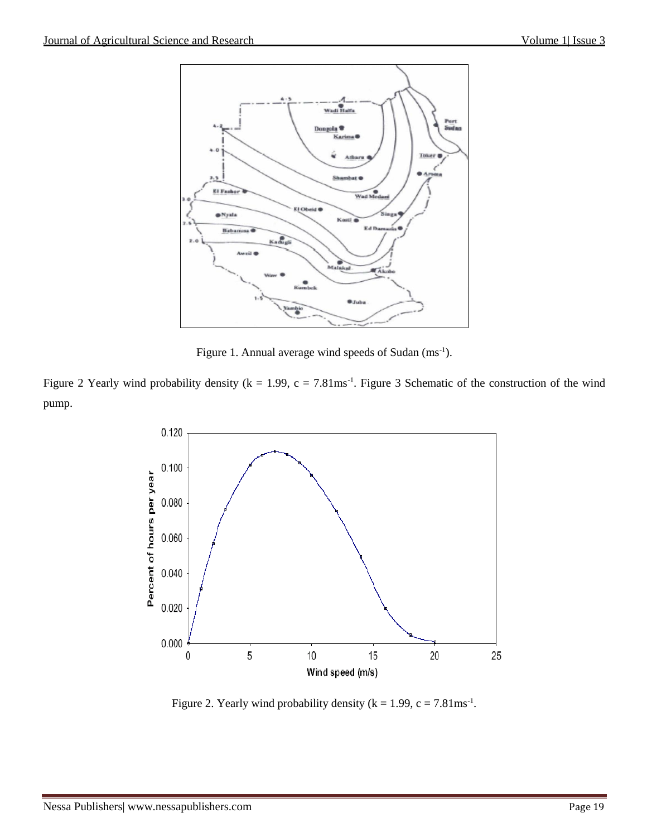

Figure 1. Annual average wind speeds of Sudan  $(ms^{-1})$ .

Figure 2 Yearly wind probability density ( $k = 1.99$ ,  $c = 7.81 \text{ms}^{-1}$ . Figure 3 Schematic of the construction of the wind pump.



Figure 2. Yearly wind probability density  $(k = 1.99, c = 7.81 \text{ms}^{-1})$ .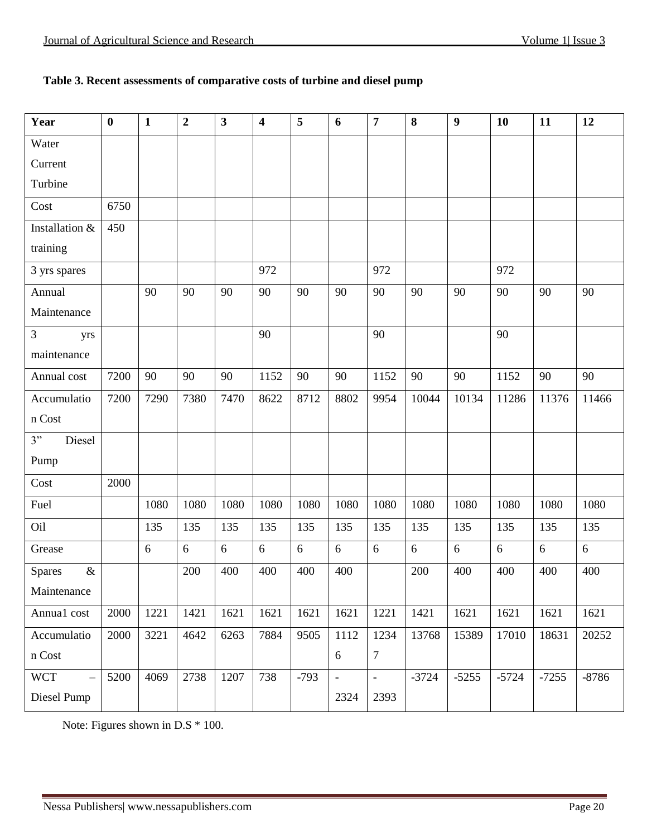# **Table 3. Recent assessments of comparative costs of turbine and diesel pump**

| Year                            | $\bf{0}$ | $\mathbf{1}$ | $\boldsymbol{2}$ | $\mathbf{3}$ | $\overline{\mathbf{4}}$ | 5      | 6                        | $\overline{7}$           | 8       | 9       | 10      | 11      | 12      |
|---------------------------------|----------|--------------|------------------|--------------|-------------------------|--------|--------------------------|--------------------------|---------|---------|---------|---------|---------|
| Water                           |          |              |                  |              |                         |        |                          |                          |         |         |         |         |         |
| Current                         |          |              |                  |              |                         |        |                          |                          |         |         |         |         |         |
| Turbine                         |          |              |                  |              |                         |        |                          |                          |         |         |         |         |         |
| Cost                            | 6750     |              |                  |              |                         |        |                          |                          |         |         |         |         |         |
| Installation &                  | 450      |              |                  |              |                         |        |                          |                          |         |         |         |         |         |
| training                        |          |              |                  |              |                         |        |                          |                          |         |         |         |         |         |
| 3 yrs spares                    |          |              |                  |              | 972                     |        |                          | 972                      |         |         | 972     |         |         |
| Annual                          |          | 90           | 90               | 90           | 90                      | 90     | 90                       | 90                       | 90      | 90      | 90      | 90      | 90      |
| Maintenance                     |          |              |                  |              |                         |        |                          |                          |         |         |         |         |         |
| 3<br>yrs                        |          |              |                  |              | 90                      |        |                          | 90                       |         |         | 90      |         |         |
| maintenance                     |          |              |                  |              |                         |        |                          |                          |         |         |         |         |         |
| Annual cost                     | 7200     | 90           | 90               | 90           | 1152                    | 90     | 90                       | 1152                     | 90      | 90      | 1152    | 90      | 90      |
| Accumulatio                     | 7200     | 7290         | 7380             | 7470         | 8622                    | 8712   | 8802                     | 9954                     | 10044   | 10134   | 11286   | 11376   | 11466   |
| n Cost                          |          |              |                  |              |                         |        |                          |                          |         |         |         |         |         |
| 3"<br>Diesel                    |          |              |                  |              |                         |        |                          |                          |         |         |         |         |         |
| Pump                            |          |              |                  |              |                         |        |                          |                          |         |         |         |         |         |
| Cost                            | 2000     |              |                  |              |                         |        |                          |                          |         |         |         |         |         |
| Fuel                            |          | 1080         | 1080             | 1080         | 1080                    | 1080   | 1080                     | 1080                     | 1080    | 1080    | 1080    | 1080    | 1080    |
| Oil                             |          | 135          | 135              | 135          | 135                     | 135    | 135                      | 135                      | 135     | 135     | 135     | 135     | 135     |
| Grease                          |          | 6            | $6\,$            | 6            | 6                       | 6      | 6                        | $\sqrt{6}$               | 6       | 6       | 6       | 6       | 6       |
| $\&$<br><b>Spares</b>           |          |              | 200              | 400          | 400                     | 400    | 400                      |                          | 200     | 400     | 400     | 400     | 400     |
| Maintenance                     |          |              |                  |              |                         |        |                          |                          |         |         |         |         |         |
| Annual cost                     | 2000     | 1221         | 1421             | 1621         | 1621                    | 1621   | 1621                     | 1221                     | 1421    | 1621    | 1621    | 1621    | 1621    |
| Accumulatio                     | 2000     | 3221         | 4642             | 6263         | 7884                    | 9505   | 1112                     | 1234                     | 13768   | 15389   | 17010   | 18631   | 20252   |
| n Cost                          |          |              |                  |              |                         |        | 6                        | $\overline{7}$           |         |         |         |         |         |
| <b>WCT</b><br>$\qquad \qquad -$ | 5200     | 4069         | 2738             | 1207         | 738                     | $-793$ | $\overline{\phantom{a}}$ | $\overline{\phantom{a}}$ | $-3724$ | $-5255$ | $-5724$ | $-7255$ | $-8786$ |
| Diesel Pump                     |          |              |                  |              |                         |        | 2324                     | 2393                     |         |         |         |         |         |

Note: Figures shown in D.S \* 100.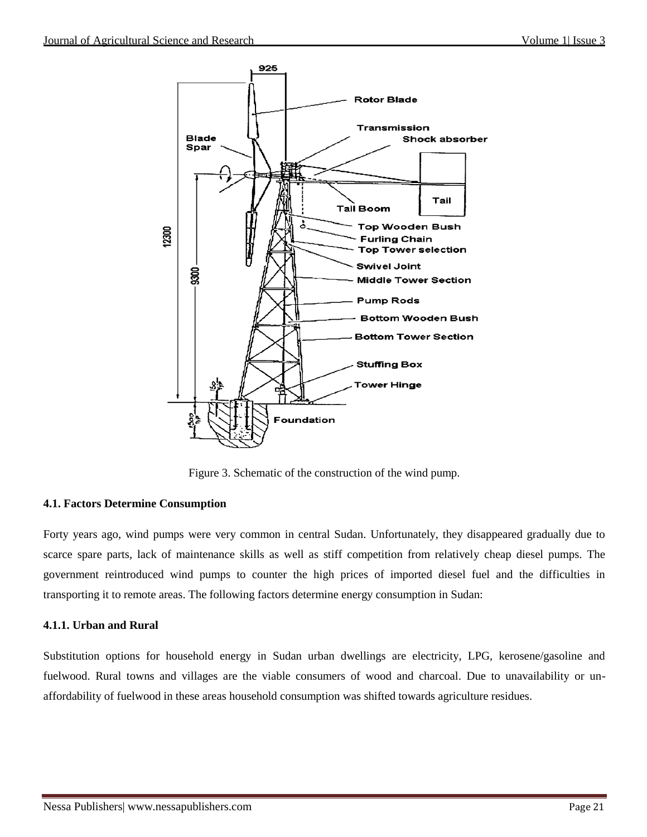

Figure 3. Schematic of the construction of the wind pump.

# **4.1. Factors Determine Consumption**

Forty years ago, wind pumps were very common in central Sudan. Unfortunately, they disappeared gradually due to scarce spare parts, lack of maintenance skills as well as stiff competition from relatively cheap diesel pumps. The government reintroduced wind pumps to counter the high prices of imported diesel fuel and the difficulties in transporting it to remote areas. The following factors determine energy consumption in Sudan:

### **4.1.1. Urban and Rural**

Substitution options for household energy in Sudan urban dwellings are electricity, LPG, kerosene/gasoline and fuelwood. Rural towns and villages are the viable consumers of wood and charcoal. Due to unavailability or unaffordability of fuelwood in these areas household consumption was shifted towards agriculture residues.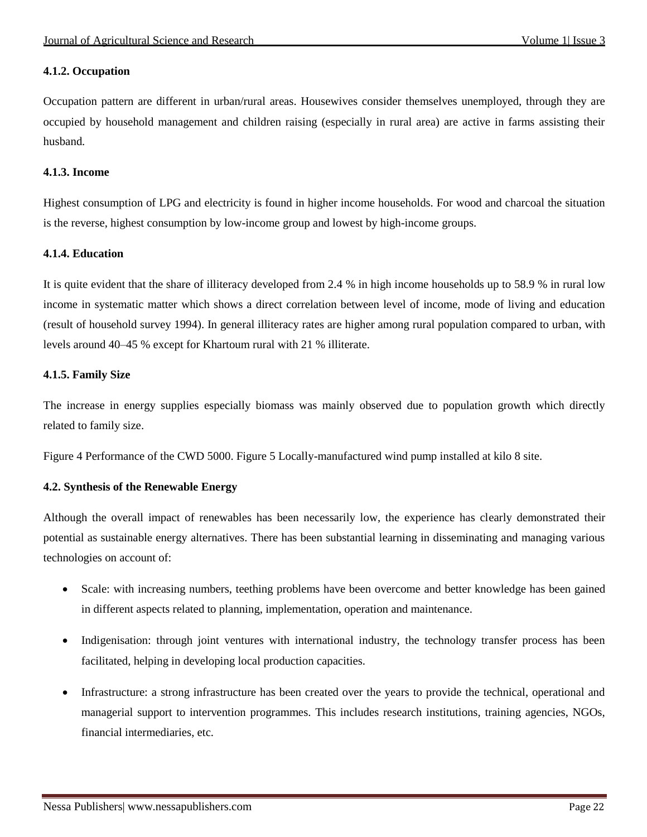## **4.1.2. Occupation**

Occupation pattern are different in urban/rural areas. Housewives consider themselves unemployed, through they are occupied by household management and children raising (especially in rural area) are active in farms assisting their husband.

## **4.1.3. Income**

Highest consumption of LPG and electricity is found in higher income households. For wood and charcoal the situation is the reverse, highest consumption by low-income group and lowest by high-income groups.

### **4.1.4. Education**

It is quite evident that the share of illiteracy developed from 2.4 % in high income households up to 58.9 % in rural low income in systematic matter which shows a direct correlation between level of income, mode of living and education (result of household survey 1994). In general illiteracy rates are higher among rural population compared to urban, with levels around 40–45 % except for Khartoum rural with 21 % illiterate.

### **4.1.5. Family Size**

The increase in energy supplies especially biomass was mainly observed due to population growth which directly related to family size.

Figure 4 Performance of the CWD 5000. Figure 5 Locally-manufactured wind pump installed at kilo 8 site.

### **4.2. Synthesis of the Renewable Energy**

Although the overall impact of renewables has been necessarily low, the experience has clearly demonstrated their potential as sustainable energy alternatives. There has been substantial learning in disseminating and managing various technologies on account of:

- Scale: with increasing numbers, teething problems have been overcome and better knowledge has been gained in different aspects related to planning, implementation, operation and maintenance.
- Indigenisation: through joint ventures with international industry, the technology transfer process has been facilitated, helping in developing local production capacities.
- Infrastructure: a strong infrastructure has been created over the years to provide the technical, operational and managerial support to intervention programmes. This includes research institutions, training agencies, NGOs, financial intermediaries, etc.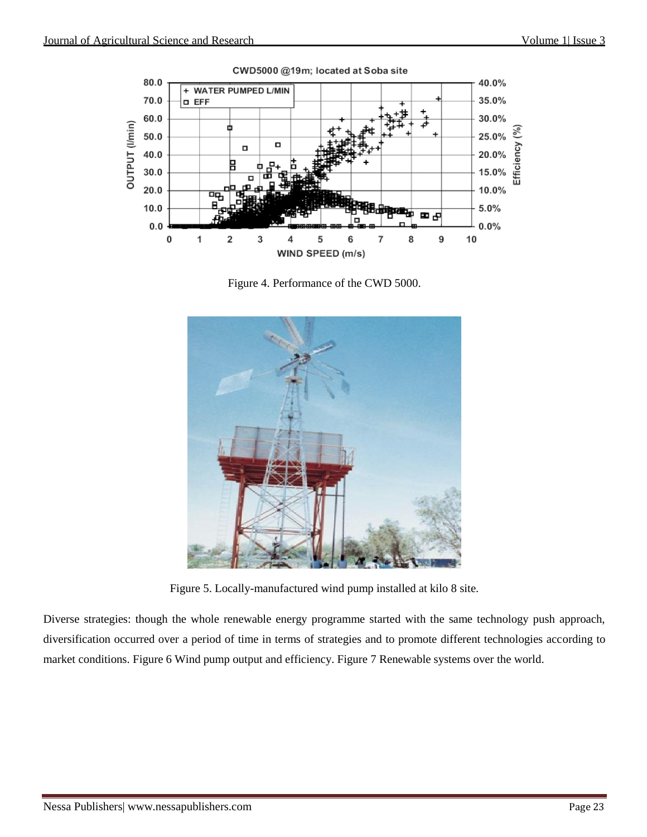

Figure 4. Performance of the CWD 5000.



Figure 5. Locally-manufactured wind pump installed at kilo 8 site.

Diverse strategies: though the whole renewable energy programme started with the same technology push approach, diversification occurred over a period of time in terms of strategies and to promote different technologies according to market conditions. Figure 6 Wind pump output and efficiency. Figure 7 Renewable systems over the world.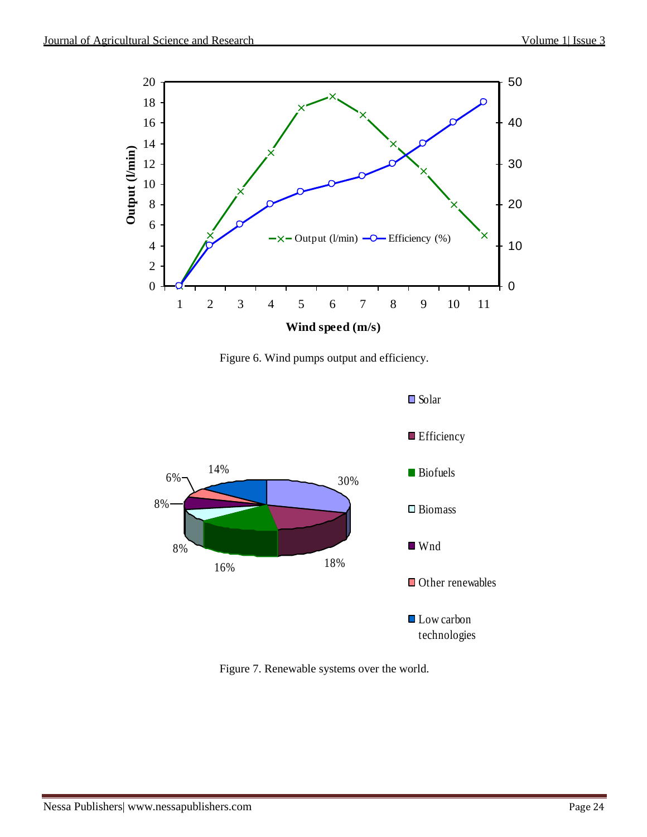

Figure 6. Wind pumps output and efficiency.



Figure 7. Renewable systems over the world.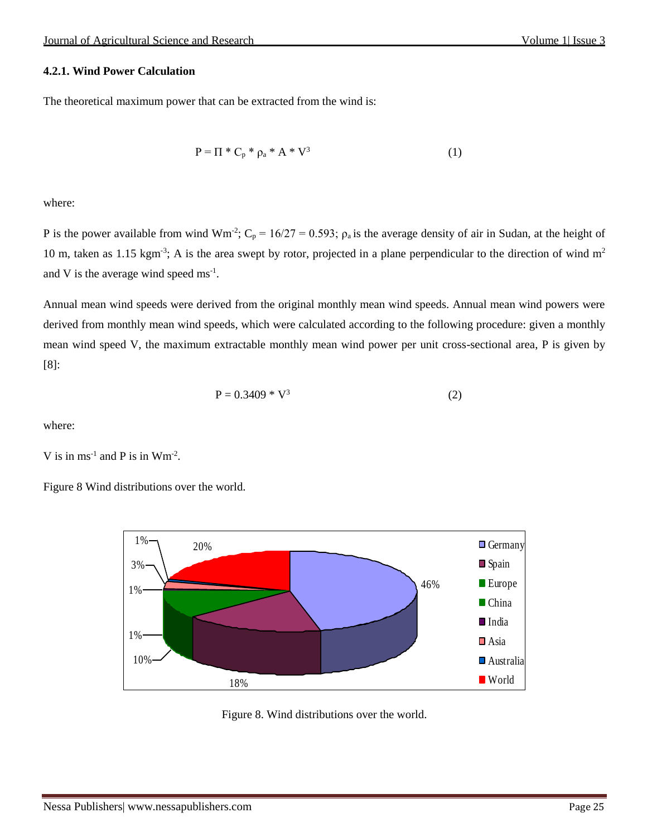### **4.2.1. Wind Power Calculation**

The theoretical maximum power that can be extracted from the wind is:

$$
P = \Pi \ast C_p \ast \rho_a \ast A \ast V^3 \tag{1}
$$

where:

P is the power available from wind Wm<sup>-2</sup>; C<sub>p</sub> = 16/27 = 0.593;  $\rho_a$  is the average density of air in Sudan, at the height of 10 m, taken as 1.15 kgm<sup>-3</sup>; A is the area swept by rotor, projected in a plane perpendicular to the direction of wind  $m<sup>2</sup>$ and V is the average wind speed ms<sup>-1</sup>.

Annual mean wind speeds were derived from the original monthly mean wind speeds. Annual mean wind powers were derived from monthly mean wind speeds, which were calculated according to the following procedure: given a monthly mean wind speed V, the maximum extractable monthly mean wind power per unit cross-sectional area, P is given by [8]:

$$
P = 0.3409 * V^3 \tag{2}
$$

where:

V is in  $ms^{-1}$  and P is in  $Wm^{-2}$ .

Figure 8 Wind distributions over the world.



Figure 8. Wind distributions over the world.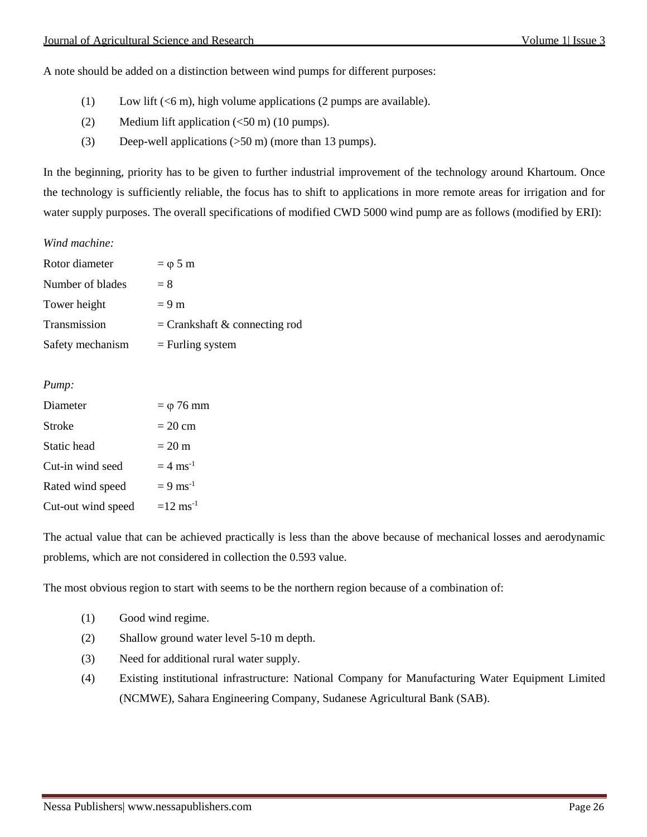A note should be added on a distinction between wind pumps for different purposes:

- (1) Low lift  $( $6 \text{ m}$ ), high volume applications (2 pumps are available).$
- (2) Medium lift application  $\left( < 50 \text{ m} \right)$  (10 pumps).
- (3) Deep-well applications (>50 m) (more than 13 pumps).

In the beginning, priority has to be given to further industrial improvement of the technology around Khartoum. Once the technology is sufficiently reliable, the focus has to shift to applications in more remote areas for irrigation and for water supply purposes. The overall specifications of modified CWD 5000 wind pump are as follows (modified by ERI):

*Wind machine:*

| Rotor diameter   | $= \varphi 5$ m                 |
|------------------|---------------------------------|
| Number of blades | $= 8$                           |
| Tower height     | $= 9 \text{ m}$                 |
| Transmission     | $=$ Crankshaft & connecting rod |
| Safety mechanism | $=$ Furling system              |

### *Pump:*

| Diameter           | $= \varphi$ 76 mm      |
|--------------------|------------------------|
| Stroke             | $= 20$ cm              |
| Static head        | $= 20 \text{ m}$       |
| Cut-in wind seed   | $= 4 \text{ ms}^{-1}$  |
| Rated wind speed   | $= 9 \text{ ms}^{-1}$  |
| Cut-out wind speed | $=12$ ms <sup>-1</sup> |

The actual value that can be achieved practically is less than the above because of mechanical losses and aerodynamic problems, which are not considered in collection the 0.593 value.

The most obvious region to start with seems to be the northern region because of a combination of:

- (1) Good wind regime.
- (2) Shallow ground water level 5-10 m depth.
- (3) Need for additional rural water supply.
- (4) Existing institutional infrastructure: National Company for Manufacturing Water Equipment Limited (NCMWE), Sahara Engineering Company, Sudanese Agricultural Bank (SAB).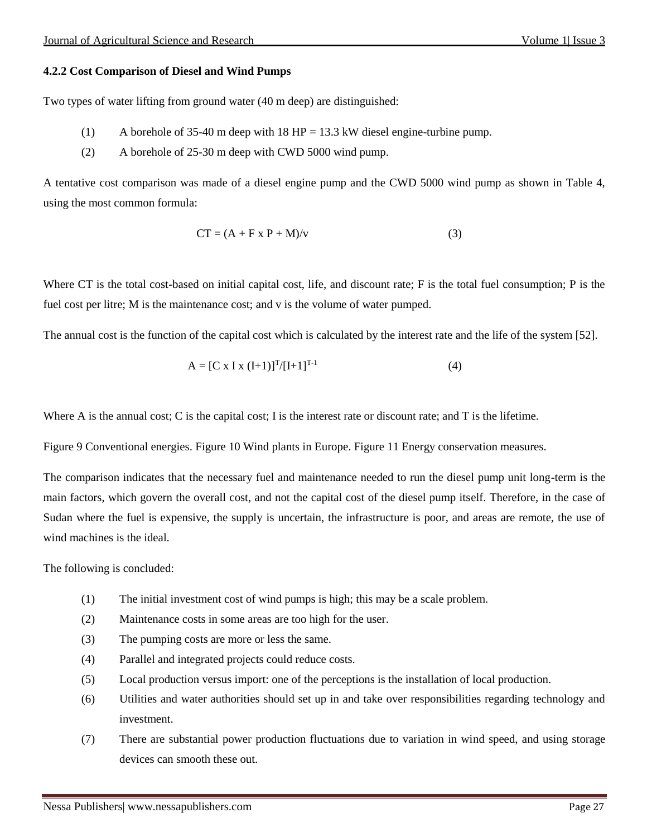### **4.2.2 Cost Comparison of Diesel and Wind Pumps**

Two types of water lifting from ground water (40 m deep) are distinguished:

- (1) A borehole of 35-40 m deep with 18 HP = 13.3 kW diesel engine-turbine pump.
- (2) A borehole of 25-30 m deep with CWD 5000 wind pump.

A tentative cost comparison was made of a diesel engine pump and the CWD 5000 wind pump as shown in Table 4, using the most common formula:

$$
CT = (A + F \times P + M)/v \tag{3}
$$

Where CT is the total cost-based on initial capital cost, life, and discount rate; F is the total fuel consumption; P is the fuel cost per litre; M is the maintenance cost; and v is the volume of water pumped.

The annual cost is the function of the capital cost which is calculated by the interest rate and the life of the system [52].

$$
A = [C \times I \times (I+1)]^{T} / [I+1]^{T-1}
$$
 (4)

Where A is the annual cost; C is the capital cost; I is the interest rate or discount rate; and T is the lifetime.

Figure 9 Conventional energies. Figure 10 Wind plants in Europe. Figure 11 Energy conservation measures.

The comparison indicates that the necessary fuel and maintenance needed to run the diesel pump unit long-term is the main factors, which govern the overall cost, and not the capital cost of the diesel pump itself. Therefore, in the case of Sudan where the fuel is expensive, the supply is uncertain, the infrastructure is poor, and areas are remote, the use of wind machines is the ideal.

The following is concluded:

- (1) The initial investment cost of wind pumps is high; this may be a scale problem.
- (2) Maintenance costs in some areas are too high for the user.
- (3) The pumping costs are more or less the same.
- (4) Parallel and integrated projects could reduce costs.
- (5) Local production versus import: one of the perceptions is the installation of local production.
- (6) Utilities and water authorities should set up in and take over responsibilities regarding technology and investment.
- (7) There are substantial power production fluctuations due to variation in wind speed, and using storage devices can smooth these out.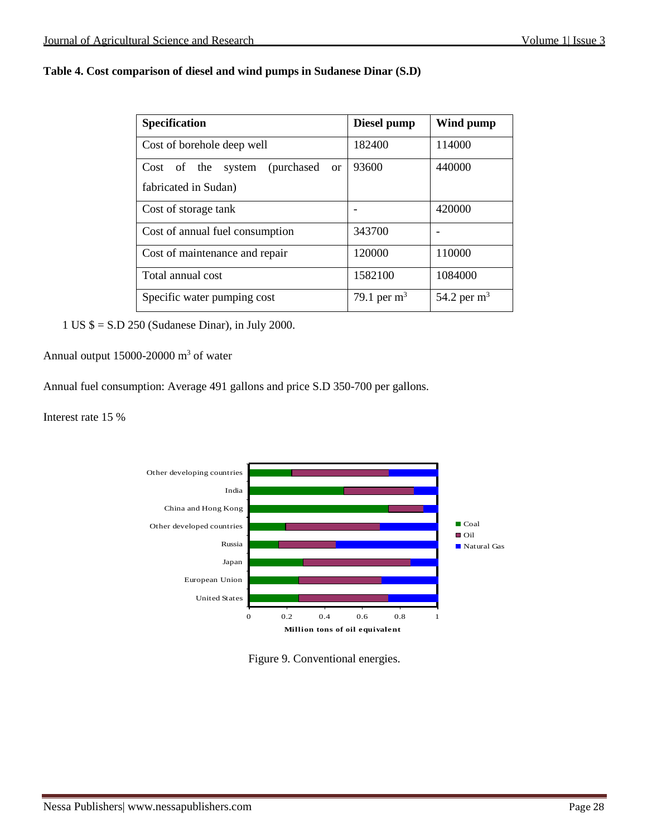## **Table 4. Cost comparison of diesel and wind pumps in Sudanese Dinar (S.D)**

| <b>Specification</b>                           | Diesel pump    | Wind pump      |  |
|------------------------------------------------|----------------|----------------|--|
| Cost of borehole deep well                     | 182400         | 114000         |  |
| Cost of the system (purchased<br><sub>or</sub> | 93600          | 440000         |  |
| fabricated in Sudan)                           |                |                |  |
| Cost of storage tank                           |                | 420000         |  |
| Cost of annual fuel consumption                | 343700         |                |  |
| Cost of maintenance and repair                 | 120000         | 110000         |  |
| Total annual cost                              | 1582100        | 1084000        |  |
| Specific water pumping cost                    | 79.1 per $m^3$ | 54.2 per $m^3$ |  |

1 US \$ = S.D 250 (Sudanese Dinar), in July 2000.

Annual output 15000-20000 m<sup>3</sup> of water

Annual fuel consumption: Average 491 gallons and price S.D 350-700 per gallons.

Interest rate 15 %



Figure 9. Conventional energies.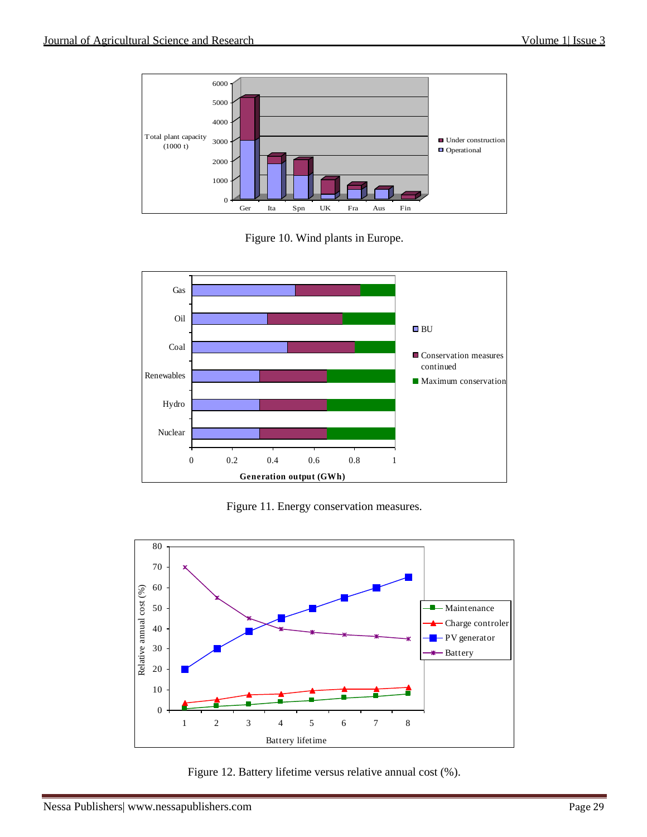

Figure 10. Wind plants in Europe.



Figure 11. Energy conservation measures.



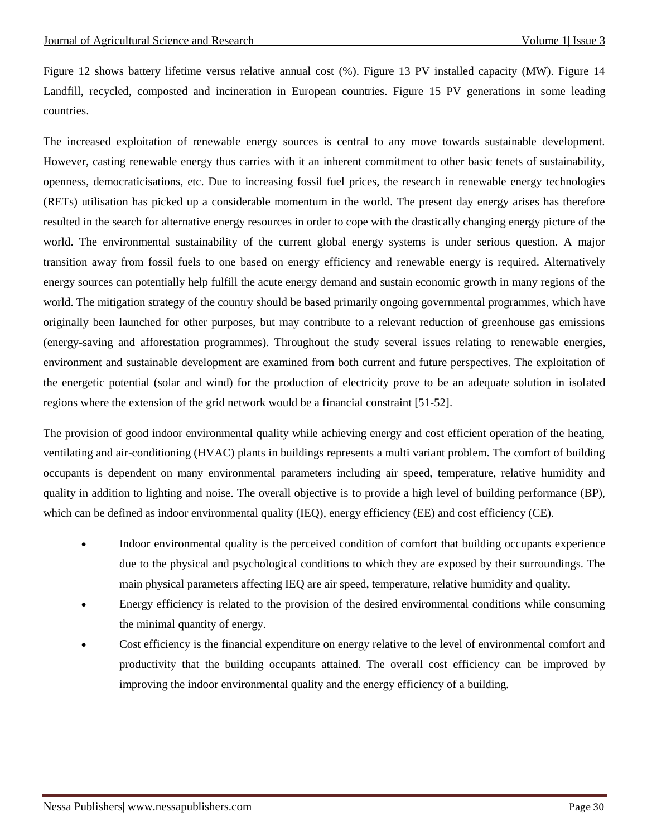Figure 12 shows battery lifetime versus relative annual cost (%). Figure 13 PV installed capacity (MW). Figure 14 Landfill, recycled, composted and incineration in European countries. Figure 15 PV generations in some leading countries.

The increased exploitation of renewable energy sources is central to any move towards sustainable development. However, casting renewable energy thus carries with it an inherent commitment to other basic tenets of sustainability, openness, democraticisations, etc. Due to increasing fossil fuel prices, the research in renewable energy technologies (RETs) utilisation has picked up a considerable momentum in the world. The present day energy arises has therefore resulted in the search for alternative energy resources in order to cope with the drastically changing energy picture of the world. The environmental sustainability of the current global energy systems is under serious question. A major transition away from fossil fuels to one based on energy efficiency and renewable energy is required. Alternatively energy sources can potentially help fulfill the acute energy demand and sustain economic growth in many regions of the world. The mitigation strategy of the country should be based primarily ongoing governmental programmes, which have originally been launched for other purposes, but may contribute to a relevant reduction of greenhouse gas emissions (energy-saving and afforestation programmes). Throughout the study several issues relating to renewable energies, environment and sustainable development are examined from both current and future perspectives. The exploitation of the energetic potential (solar and wind) for the production of electricity prove to be an adequate solution in isolated regions where the extension of the grid network would be a financial constraint [51-52].

The provision of good indoor environmental quality while achieving energy and cost efficient operation of the heating, ventilating and air-conditioning (HVAC) plants in buildings represents a multi variant problem. The comfort of building occupants is dependent on many environmental parameters including air speed, temperature, relative humidity and quality in addition to lighting and noise. The overall objective is to provide a high level of building performance (BP), which can be defined as indoor environmental quality (IEQ), energy efficiency (EE) and cost efficiency (CE).

- Indoor environmental quality is the perceived condition of comfort that building occupants experience due to the physical and psychological conditions to which they are exposed by their surroundings. The main physical parameters affecting IEQ are air speed, temperature, relative humidity and quality.
- Energy efficiency is related to the provision of the desired environmental conditions while consuming the minimal quantity of energy.
- Cost efficiency is the financial expenditure on energy relative to the level of environmental comfort and productivity that the building occupants attained. The overall cost efficiency can be improved by improving the indoor environmental quality and the energy efficiency of a building.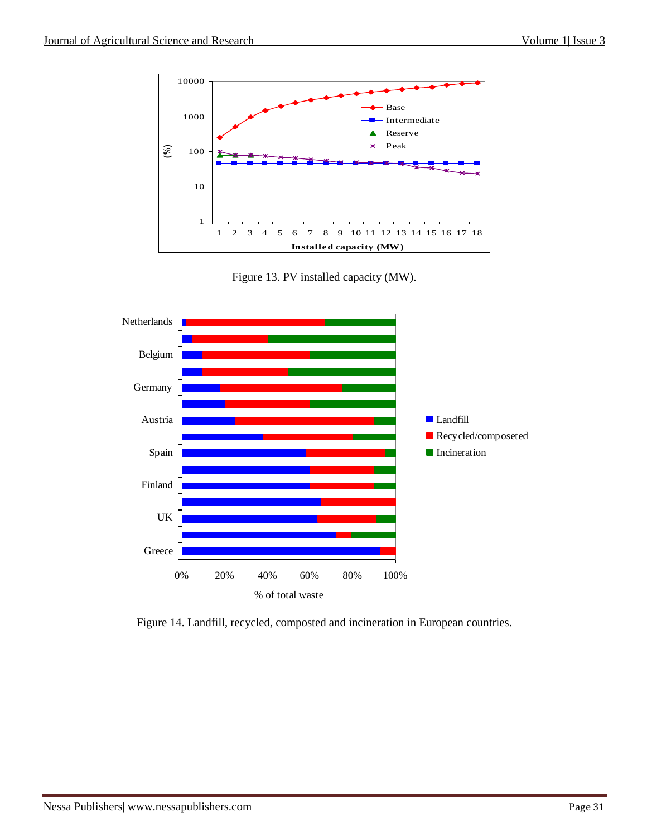

Figure 13. PV installed capacity (MW).



Figure 14. Landfill, recycled, composted and incineration in European countries.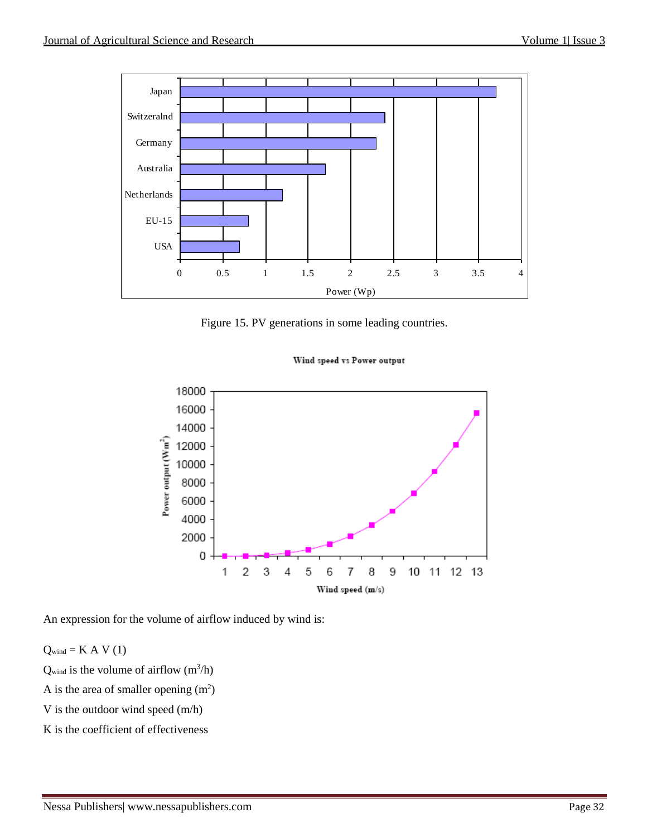

Figure 15. PV generations in some leading countries.



#### Wind speed vs Power output

An expression for the volume of airflow induced by wind is:

 $Q_{wind} = K A V (1)$ 

 $Q_{wind}$  is the volume of airflow  $(m^3/h)$ 

A is the area of smaller opening  $(m<sup>2</sup>)$ 

V is the outdoor wind speed (m/h)

K is the coefficient of effectiveness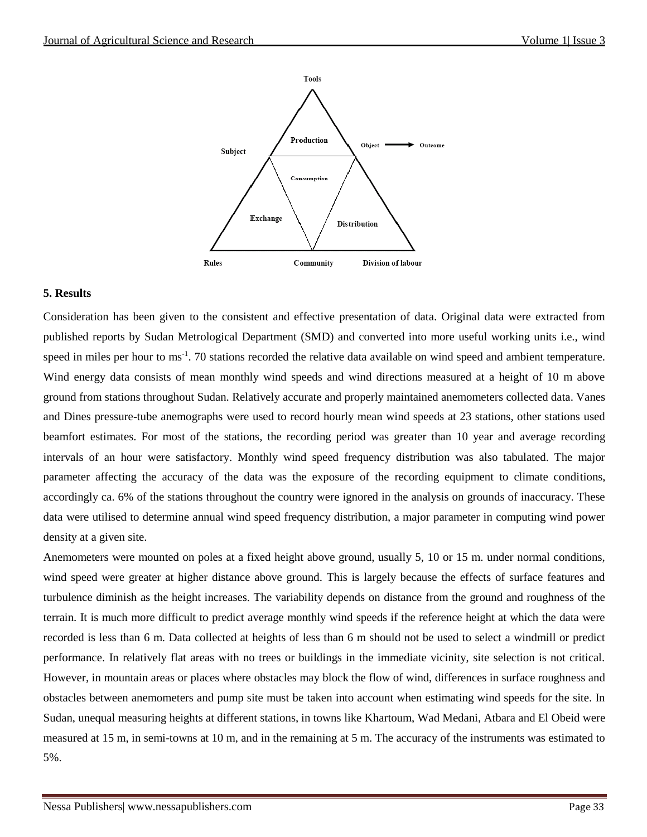

### **5. Results**

Consideration has been given to the consistent and effective presentation of data. Original data were extracted from published reports by Sudan Metrological Department (SMD) and converted into more useful working units i.e., wind speed in miles per hour to ms<sup>-1</sup>. 70 stations recorded the relative data available on wind speed and ambient temperature. Wind energy data consists of mean monthly wind speeds and wind directions measured at a height of 10 m above ground from stations throughout Sudan. Relatively accurate and properly maintained anemometers collected data. Vanes and Dines pressure-tube anemographs were used to record hourly mean wind speeds at 23 stations, other stations used beamfort estimates. For most of the stations, the recording period was greater than 10 year and average recording intervals of an hour were satisfactory. Monthly wind speed frequency distribution was also tabulated. The major parameter affecting the accuracy of the data was the exposure of the recording equipment to climate conditions, accordingly ca. 6% of the stations throughout the country were ignored in the analysis on grounds of inaccuracy. These data were utilised to determine annual wind speed frequency distribution, a major parameter in computing wind power density at a given site.

Anemometers were mounted on poles at a fixed height above ground, usually 5, 10 or 15 m. under normal conditions, wind speed were greater at higher distance above ground. This is largely because the effects of surface features and turbulence diminish as the height increases. The variability depends on distance from the ground and roughness of the terrain. It is much more difficult to predict average monthly wind speeds if the reference height at which the data were recorded is less than 6 m. Data collected at heights of less than 6 m should not be used to select a windmill or predict performance. In relatively flat areas with no trees or buildings in the immediate vicinity, site selection is not critical. However, in mountain areas or places where obstacles may block the flow of wind, differences in surface roughness and obstacles between anemometers and pump site must be taken into account when estimating wind speeds for the site. In Sudan, unequal measuring heights at different stations, in towns like Khartoum, Wad Medani, Atbara and El Obeid were measured at 15 m, in semi-towns at 10 m, and in the remaining at 5 m. The accuracy of the instruments was estimated to 5%.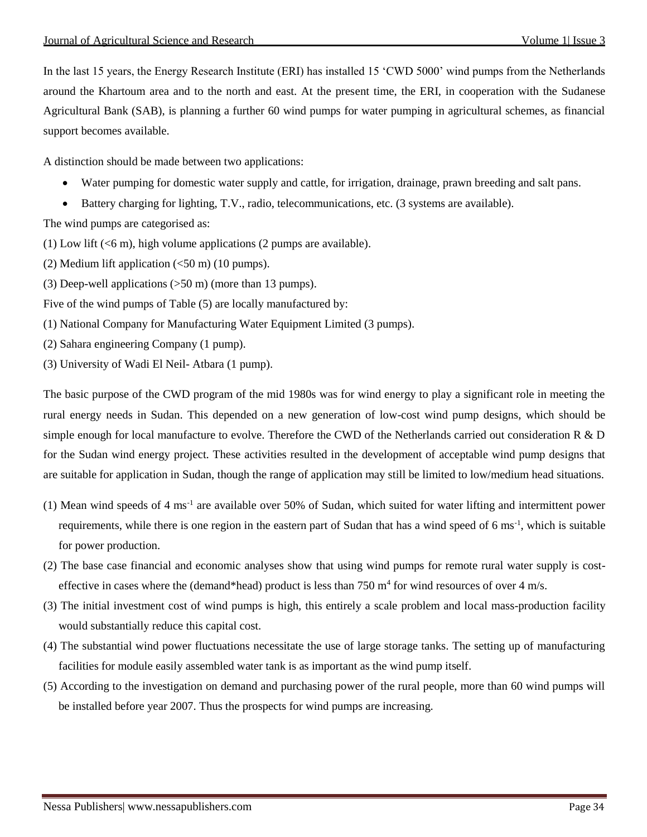In the last 15 years, the Energy Research Institute (ERI) has installed 15 'CWD 5000' wind pumps from the Netherlands around the Khartoum area and to the north and east. At the present time, the ERI, in cooperation with the Sudanese Agricultural Bank (SAB), is planning a further 60 wind pumps for water pumping in agricultural schemes, as financial support becomes available.

A distinction should be made between two applications:

- Water pumping for domestic water supply and cattle, for irrigation, drainage, prawn breeding and salt pans.
- Battery charging for lighting, T.V., radio, telecommunications, etc. (3 systems are available).

The wind pumps are categorised as:

- (1) Low lift (<6 m), high volume applications (2 pumps are available).
- (2) Medium lift application  $( $50 \text{ m}$ )$  (10 pumps).
- (3) Deep-well applications (>50 m) (more than 13 pumps).
- Five of the wind pumps of Table (5) are locally manufactured by:
- (1) National Company for Manufacturing Water Equipment Limited (3 pumps).
- (2) Sahara engineering Company (1 pump).
- (3) University of Wadi El Neil- Atbara (1 pump).

The basic purpose of the CWD program of the mid 1980s was for wind energy to play a significant role in meeting the rural energy needs in Sudan. This depended on a new generation of low-cost wind pump designs, which should be simple enough for local manufacture to evolve. Therefore the CWD of the Netherlands carried out consideration R & D for the Sudan wind energy project. These activities resulted in the development of acceptable wind pump designs that are suitable for application in Sudan, though the range of application may still be limited to low/medium head situations.

- (1) Mean wind speeds of 4 ms-1 are available over 50% of Sudan, which suited for water lifting and intermittent power requirements, while there is one region in the eastern part of Sudan that has a wind speed of 6 ms<sup>-1</sup>, which is suitable for power production.
- (2) The base case financial and economic analyses show that using wind pumps for remote rural water supply is costeffective in cases where the (demand\*head) product is less than  $750 \text{ m}^4$  for wind resources of over 4 m/s.
- (3) The initial investment cost of wind pumps is high, this entirely a scale problem and local mass-production facility would substantially reduce this capital cost.
- (4) The substantial wind power fluctuations necessitate the use of large storage tanks. The setting up of manufacturing facilities for module easily assembled water tank is as important as the wind pump itself.
- (5) According to the investigation on demand and purchasing power of the rural people, more than 60 wind pumps will be installed before year 2007. Thus the prospects for wind pumps are increasing.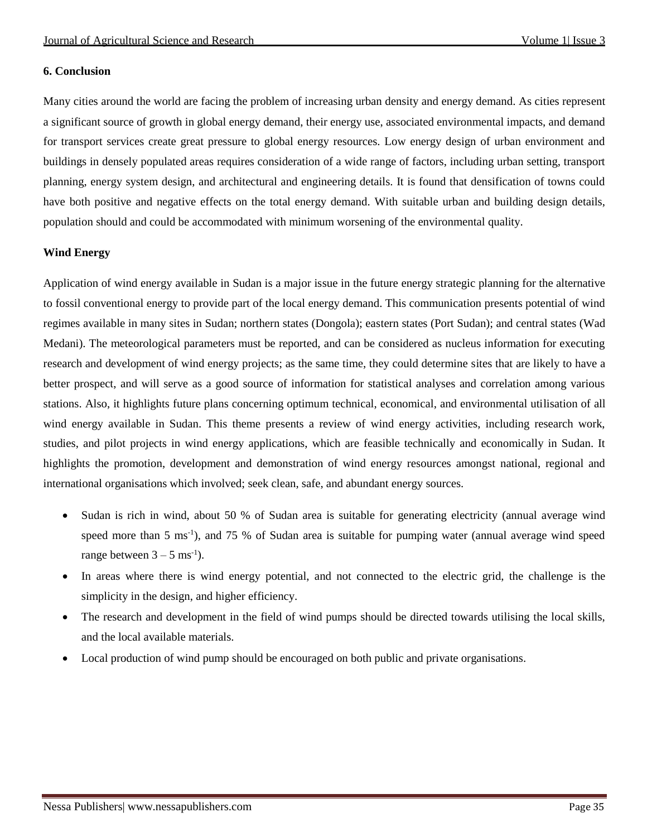### **6. Conclusion**

Many cities around the world are facing the problem of increasing urban density and energy demand. As cities represent a significant source of growth in global energy demand, their energy use, associated environmental impacts, and demand for transport services create great pressure to global energy resources. Low energy design of urban environment and buildings in densely populated areas requires consideration of a wide range of factors, including urban setting, transport planning, energy system design, and architectural and engineering details. It is found that densification of towns could have both positive and negative effects on the total energy demand. With suitable urban and building design details, population should and could be accommodated with minimum worsening of the environmental quality.

### **Wind Energy**

Application of wind energy available in Sudan is a major issue in the future energy strategic planning for the alternative to fossil conventional energy to provide part of the local energy demand. This communication presents potential of wind regimes available in many sites in Sudan; northern states (Dongola); eastern states (Port Sudan); and central states (Wad Medani). The meteorological parameters must be reported, and can be considered as nucleus information for executing research and development of wind energy projects; as the same time, they could determine sites that are likely to have a better prospect, and will serve as a good source of information for statistical analyses and correlation among various stations. Also, it highlights future plans concerning optimum technical, economical, and environmental utilisation of all wind energy available in Sudan. This theme presents a review of wind energy activities, including research work, studies, and pilot projects in wind energy applications, which are feasible technically and economically in Sudan. It highlights the promotion, development and demonstration of wind energy resources amongst national, regional and international organisations which involved; seek clean, safe, and abundant energy sources.

- Sudan is rich in wind, about 50 % of Sudan area is suitable for generating electricity (annual average wind speed more than 5 ms<sup>-1</sup>), and 75 % of Sudan area is suitable for pumping water (annual average wind speed range between  $3 - 5$  ms<sup>-1</sup>).
- In areas where there is wind energy potential, and not connected to the electric grid, the challenge is the simplicity in the design, and higher efficiency.
- The research and development in the field of wind pumps should be directed towards utilising the local skills, and the local available materials.
- Local production of wind pump should be encouraged on both public and private organisations.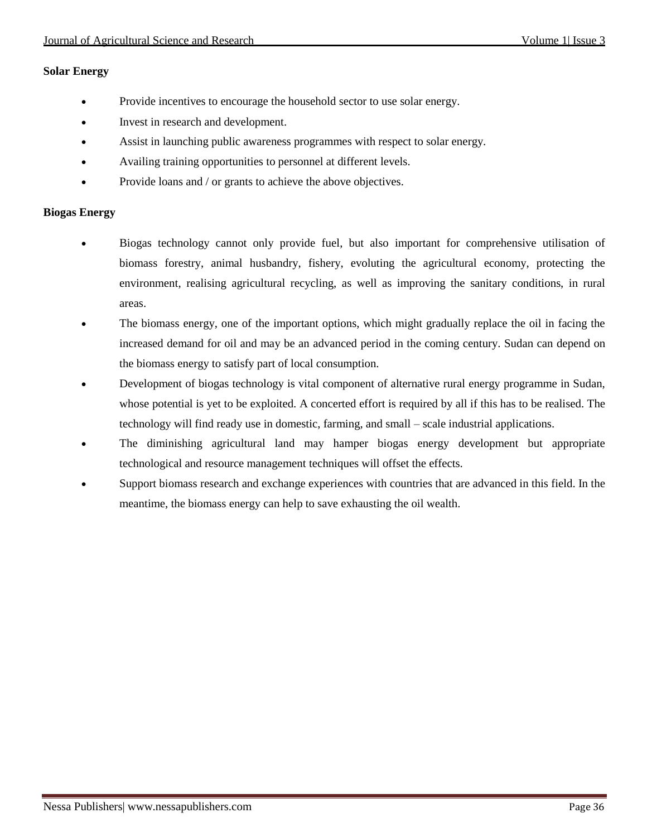## **Solar Energy**

- Provide incentives to encourage the household sector to use solar energy.
- Invest in research and development.
- Assist in launching public awareness programmes with respect to solar energy.
- Availing training opportunities to personnel at different levels.
- Provide loans and / or grants to achieve the above objectives.

## **Biogas Energy**

- Biogas technology cannot only provide fuel, but also important for comprehensive utilisation of biomass forestry, animal husbandry, fishery, evoluting the agricultural economy, protecting the environment, realising agricultural recycling, as well as improving the sanitary conditions, in rural areas.
- The biomass energy, one of the important options, which might gradually replace the oil in facing the increased demand for oil and may be an advanced period in the coming century. Sudan can depend on the biomass energy to satisfy part of local consumption.
- Development of biogas technology is vital component of alternative rural energy programme in Sudan, whose potential is yet to be exploited. A concerted effort is required by all if this has to be realised. The technology will find ready use in domestic, farming, and small – scale industrial applications.
- The diminishing agricultural land may hamper biogas energy development but appropriate technological and resource management techniques will offset the effects.
- Support biomass research and exchange experiences with countries that are advanced in this field. In the meantime, the biomass energy can help to save exhausting the oil wealth.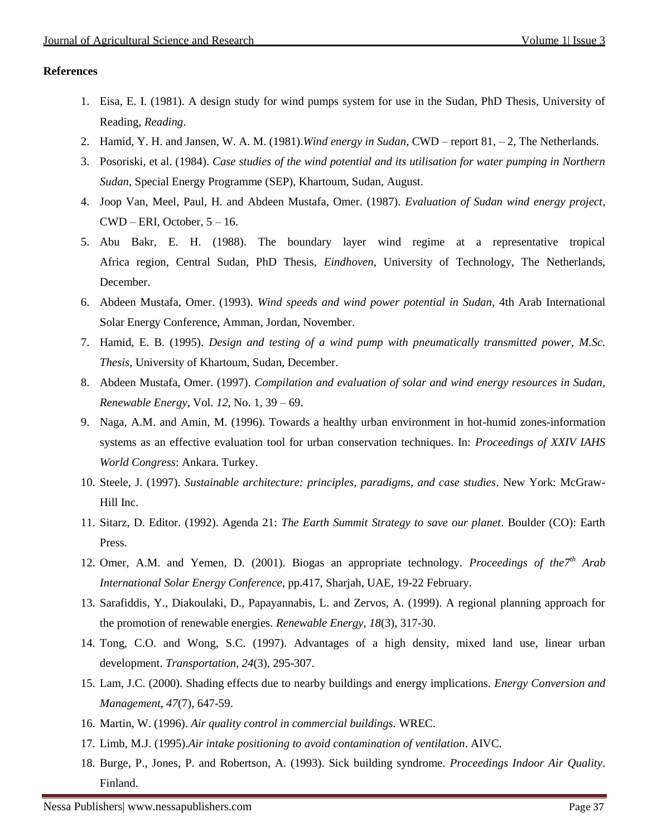### **References**

- 1. Eisa, E. I. (1981). A design study for wind pumps system for use in the Sudan, PhD Thesis, University of Reading, *Reading*.
- 2. Hamid, Y. H. and Jansen, W. A. M. (1981).*Wind energy in Sudan*, CWD report 81, 2, The Netherlands.
- 3. Posoriski, et al. (1984). *Case studies of the wind potential and its utilisation for water pumping in Northern Sudan,* Special Energy Programme (SEP), Khartoum, Sudan, August.
- 4. Joop Van, Meel, Paul, H. and Abdeen Mustafa, Omer. (1987). *Evaluation of Sudan wind energy project*, CWD – ERI, October, 5 – 16.
- 5. Abu Bakr, E. H. (1988). The boundary layer wind regime at a representative tropical Africa region, Central Sudan, PhD Thesis, *Eindhoven*, University of Technology, The Netherlands, December.
- 6. Abdeen Mustafa, Omer. (1993). *Wind speeds and wind power potential in Sudan*, 4th Arab International Solar Energy Conference, Amman, Jordan, November.
- 7. Hamid, E. B. (1995). *Design and testing of a wind pump with pneumatically transmitted power*, *M.Sc. Thesis*, University of Khartoum, Sudan, December.
- 8. Abdeen Mustafa, Omer. (1997). *Compilation and evaluation of solar and wind energy resources in Sudan*, *Renewable Energy*, Vol. *12*, No. 1, 39 – 69.
- 9. Naga, A.M. and Amin, M. (1996). Towards a healthy urban environment in hot-humid zones-information systems as an effective evaluation tool for urban conservation techniques. In: *Proceedings of XXIV IAHS World Congress*: Ankara. Turkey.
- 10. Steele, J. (1997). *Sustainable architecture: principles, paradigms, and case studies*. New York: McGraw-Hill Inc.
- 11. Sitarz, D. Editor. (1992). Agenda 21: *The Earth Summit Strategy to save our planet*. Boulder (CO): Earth Press.
- 12. Omer, A.M. and Yemen, D. (2001). Biogas an appropriate technology. *Proceedings of the7th Arab International Solar Energy Conference*, pp.417, Sharjah, UAE, 19-22 February.
- 13. Sarafiddis, Y., Diakoulaki, D., Papayannabis, L. and Zervos, A. (1999). A regional planning approach for the promotion of renewable energies. *Renewable Energy*, *18*(3), 317-30.
- 14. Tong, C.O. and Wong, S.C. (1997). Advantages of a high density, mixed land use, linear urban development. *Transportation*, *24*(3), 295-307.
- 15. Lam, J.C. (2000). Shading effects due to nearby buildings and energy implications. *Energy Conversion and Management*, *47*(7), 647-59.
- 16. Martin, W. (1996). *Air quality control in commercial buildings.* WREC.
- 17. Limb, M.J. (1995).*Air intake positioning to avoid contamination of ventilation*. AIVC.
- 18. Burge, P., Jones, P. and Robertson, A. (1993). Sick building syndrome. *Proceedings Indoor Air Quality*. Finland.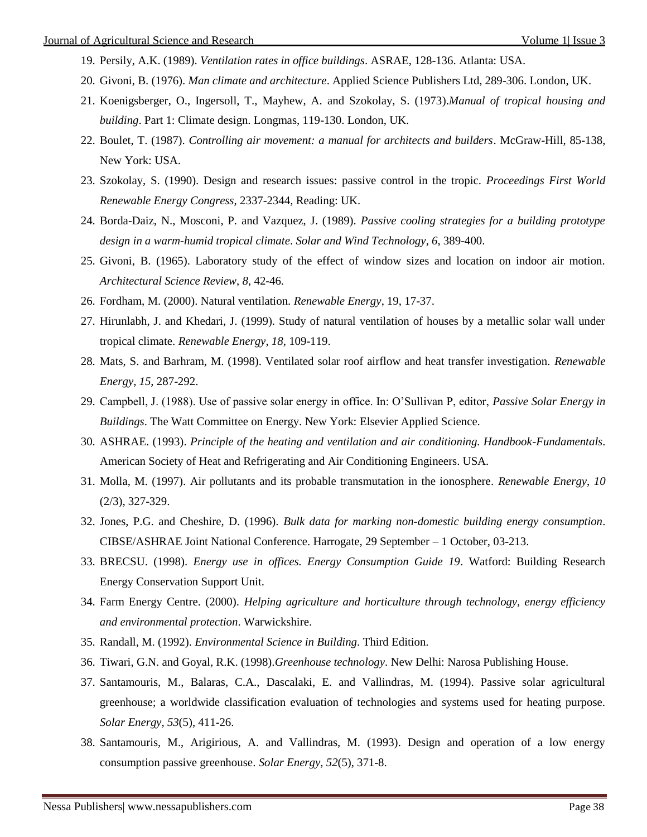- 19. Persily, A.K. (1989). *Ventilation rates in office buildings*. ASRAE, 128-136. Atlanta: USA.
- 20. Givoni, B. (1976). *Man climate and architecture*. Applied Science Publishers Ltd, 289-306. London, UK.
- 21. Koenigsberger, O., Ingersoll, T., Mayhew, A. and Szokolay, S. (1973).*Manual of tropical housing and building*. Part 1: Climate design. Longmas, 119-130. London, UK.
- 22. Boulet, T. (1987). *Controlling air movement: a manual for architects and builders*. McGraw-Hill, 85-138, New York: USA.
- 23. Szokolay, S. (1990). Design and research issues: passive control in the tropic. *Proceedings First World Renewable Energy Congress*, 2337-2344, Reading: UK.
- 24. Borda-Daiz, N., Mosconi, P. and Vazquez, J. (1989). *Passive cooling strategies for a building prototype design in a warm-humid tropical climate*. *Solar and Wind Technology*, *6*, 389-400.
- 25. Givoni, B. (1965). Laboratory study of the effect of window sizes and location on indoor air motion. *Architectural Science Review*, *8*, 42-46.
- 26. Fordham, M. (2000). Natural ventilation. *Renewable Energy*, 19, 17-37.
- 27. Hirunlabh, J. and Khedari, J. (1999). Study of natural ventilation of houses by a metallic solar wall under tropical climate. *Renewable Energy*, *18*, 109-119.
- 28. Mats, S. and Barhram, M. (1998). Ventilated solar roof airflow and heat transfer investigation. *Renewable Energy*, *15*, 287-292.
- 29. Campbell, J. (1988). Use of passive solar energy in office. In: O'Sullivan P, editor, *Passive Solar Energy in Buildings*. The Watt Committee on Energy. New York: Elsevier Applied Science.
- 30. ASHRAE. (1993). *Principle of the heating and ventilation and air conditioning. Handbook-Fundamentals*. American Society of Heat and Refrigerating and Air Conditioning Engineers. USA.
- 31. Molla, M. (1997). Air pollutants and its probable transmutation in the ionosphere. *Renewable Energy*, *10* (2/3), 327-329.
- 32. Jones, P.G. and Cheshire, D. (1996). *Bulk data for marking non-domestic building energy consumption*. CIBSE/ASHRAE Joint National Conference. Harrogate, 29 September – 1 October, 03-213.
- 33. BRECSU. (1998). *Energy use in offices. Energy Consumption Guide 19*. Watford: Building Research Energy Conservation Support Unit.
- 34. Farm Energy Centre. (2000). *Helping agriculture and horticulture through technology, energy efficiency and environmental protection*. Warwickshire.
- 35. Randall, M. (1992). *Environmental Science in Building*. Third Edition.
- 36. Tiwari, G.N. and Goyal, R.K. (1998).*Greenhouse technology*. New Delhi: Narosa Publishing House.
- 37. Santamouris, M., Balaras, C.A., Dascalaki, E. and Vallindras, M. (1994). Passive solar agricultural greenhouse; a worldwide classification evaluation of technologies and systems used for heating purpose. *Solar Energy*, *53*(5), 411-26.
- 38. Santamouris, M., Arigirious, A. and Vallindras, M. (1993). Design and operation of a low energy consumption passive greenhouse. *Solar Energy*, *52*(5), 371-8.